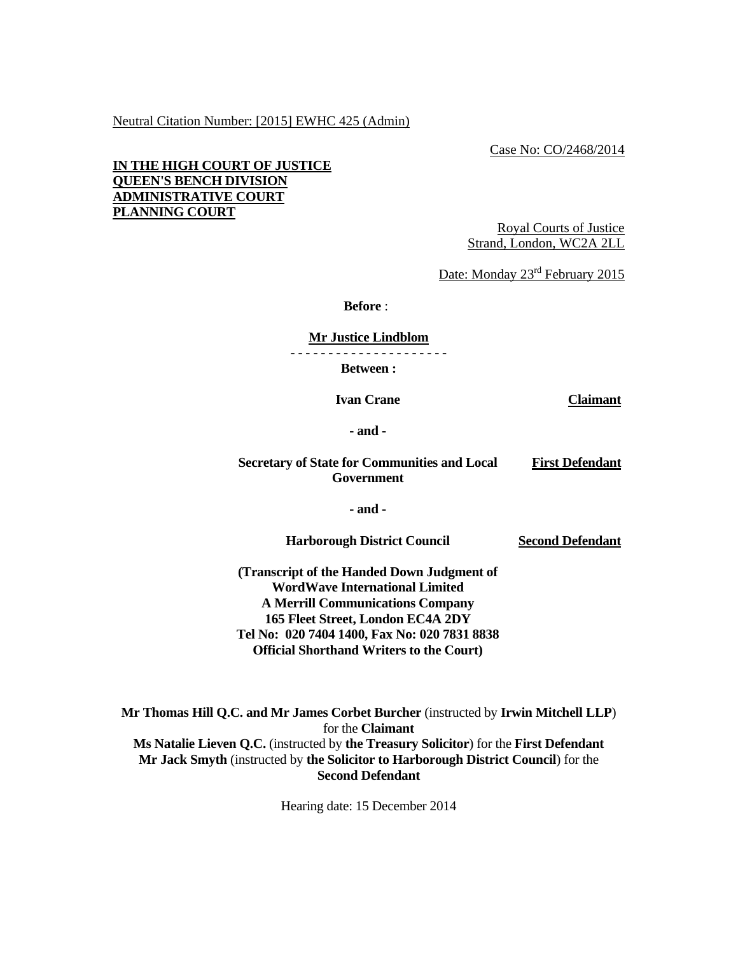#### Neutral Citation Number: [2015] EWHC 425 (Admin)

Case No: CO/2468/2014

## **IN THE HIGH COURT OF JUSTICE QUEEN'S BENCH DIVISION ADMINISTRATIVE COURT PLANNING COURT**

Royal Courts of Justice Strand, London, WC2A 2LL

Date: Monday 23<sup>rd</sup> February 2015

 **Before** :

**Mr Justice Lindblom**

- - - - - - - - - - - - - - - - - - - - -

**Between :** 

 **Ivan Crane Claimant**

 **- and -** 

#### **Secretary of State for Communities and Local Government First Defendant**

 **- and -** 

 **Harborough District Council** 

**Second Defendant**

**(Transcript of the Handed Down Judgment of WordWave International Limited A Merrill Communications Company 165 Fleet Street, London EC4A 2DY Tel No: 020 7404 1400, Fax No: 020 7831 8838 Official Shorthand Writers to the Court)** 

**Mr Thomas Hill Q.C. and Mr James Corbet Burcher** (instructed by **Irwin Mitchell LLP**) for the **Claimant Ms Natalie Lieven Q.C.** (instructed by **the Treasury Solicitor**) for the **First Defendant Mr Jack Smyth** (instructed by **the Solicitor to Harborough District Council**) for the **Second Defendant**

Hearing date: 15 December 2014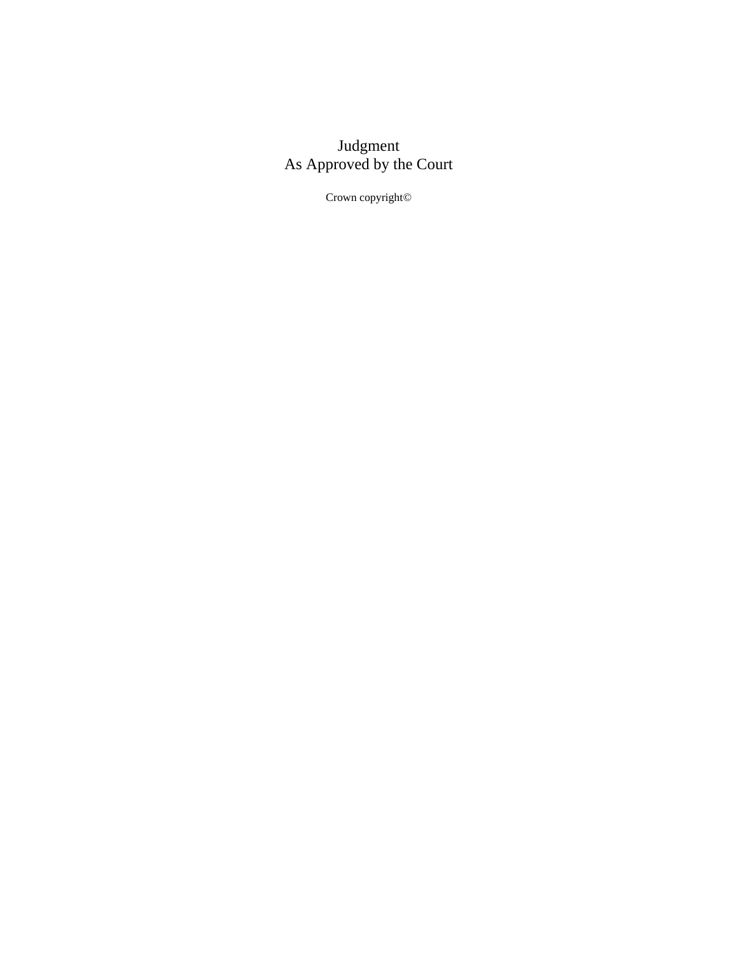# Judgment As Approved by the Court

Crown copyright©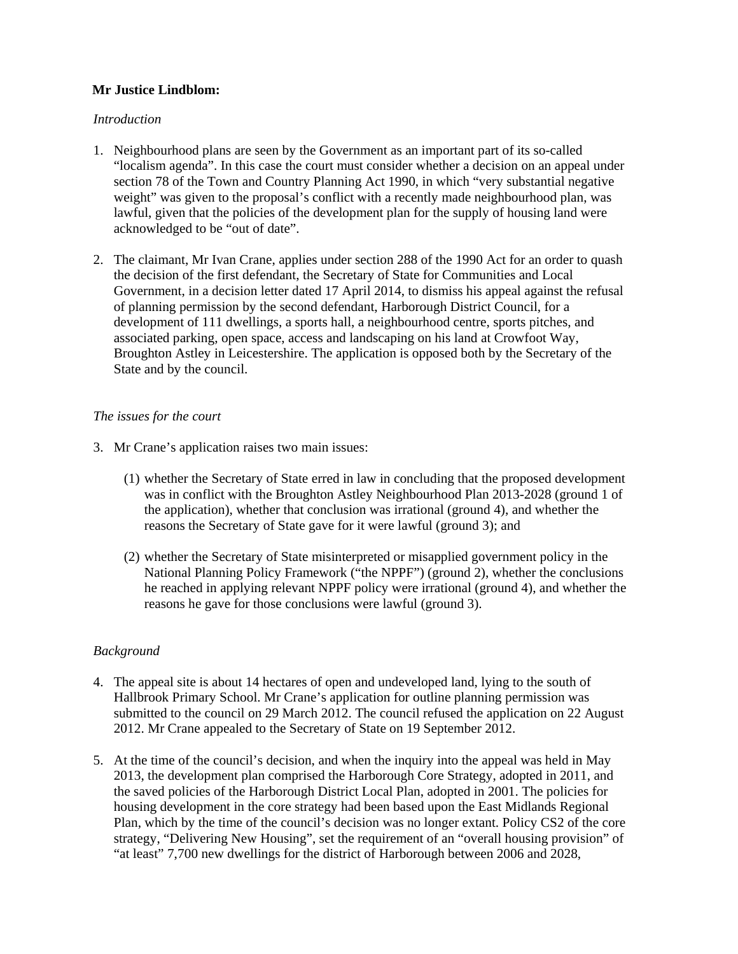# **Mr Justice Lindblom:**

# *Introduction*

- 1. Neighbourhood plans are seen by the Government as an important part of its so-called "localism agenda". In this case the court must consider whether a decision on an appeal under section 78 of the Town and Country Planning Act 1990, in which "very substantial negative weight" was given to the proposal's conflict with a recently made neighbourhood plan, was lawful, given that the policies of the development plan for the supply of housing land were acknowledged to be "out of date".
- 2. The claimant, Mr Ivan Crane, applies under section 288 of the 1990 Act for an order to quash the decision of the first defendant, the Secretary of State for Communities and Local Government, in a decision letter dated 17 April 2014, to dismiss his appeal against the refusal of planning permission by the second defendant, Harborough District Council, for a development of 111 dwellings, a sports hall, a neighbourhood centre, sports pitches, and associated parking, open space, access and landscaping on his land at Crowfoot Way, Broughton Astley in Leicestershire. The application is opposed both by the Secretary of the State and by the council.

## *The issues for the court*

- 3. Mr Crane's application raises two main issues:
	- (1) whether the Secretary of State erred in law in concluding that the proposed development was in conflict with the Broughton Astley Neighbourhood Plan 2013-2028 (ground 1 of the application), whether that conclusion was irrational (ground 4), and whether the reasons the Secretary of State gave for it were lawful (ground 3); and
	- (2) whether the Secretary of State misinterpreted or misapplied government policy in the National Planning Policy Framework ("the NPPF") (ground 2), whether the conclusions he reached in applying relevant NPPF policy were irrational (ground 4), and whether the reasons he gave for those conclusions were lawful (ground 3).

# *Background*

- 4. The appeal site is about 14 hectares of open and undeveloped land, lying to the south of Hallbrook Primary School. Mr Crane's application for outline planning permission was submitted to the council on 29 March 2012. The council refused the application on 22 August 2012. Mr Crane appealed to the Secretary of State on 19 September 2012.
- 5. At the time of the council's decision, and when the inquiry into the appeal was held in May 2013, the development plan comprised the Harborough Core Strategy, adopted in 2011, and the saved policies of the Harborough District Local Plan, adopted in 2001. The policies for housing development in the core strategy had been based upon the East Midlands Regional Plan, which by the time of the council's decision was no longer extant. Policy CS2 of the core strategy, "Delivering New Housing", set the requirement of an "overall housing provision" of "at least" 7,700 new dwellings for the district of Harborough between 2006 and 2028,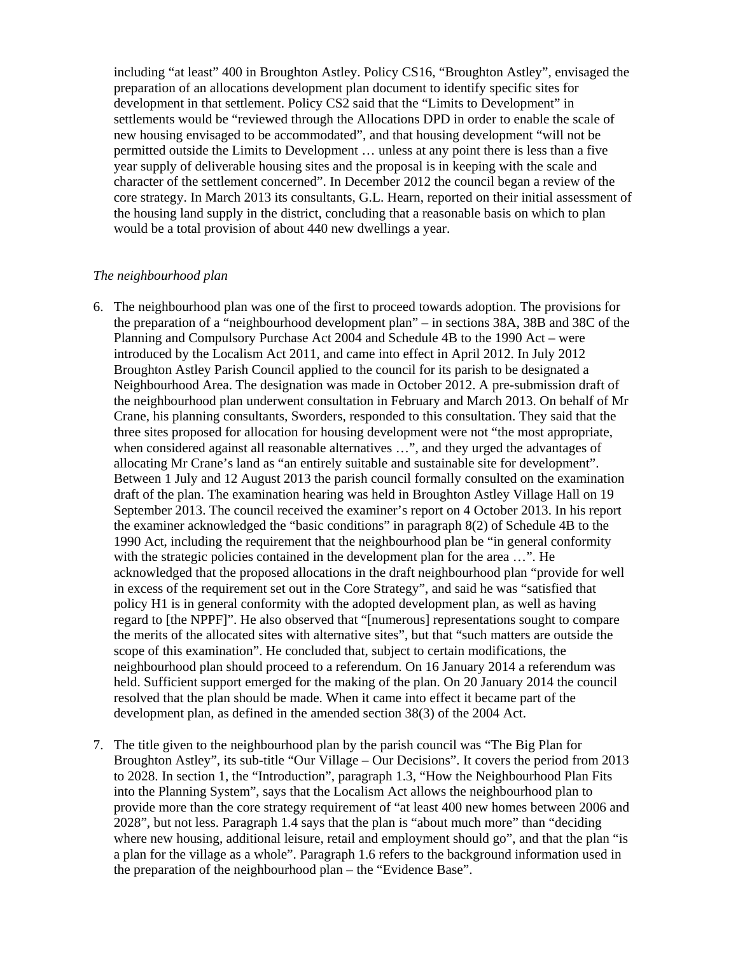including "at least" 400 in Broughton Astley. Policy CS16, "Broughton Astley", envisaged the preparation of an allocations development plan document to identify specific sites for development in that settlement. Policy CS2 said that the "Limits to Development" in settlements would be "reviewed through the Allocations DPD in order to enable the scale of new housing envisaged to be accommodated", and that housing development "will not be permitted outside the Limits to Development … unless at any point there is less than a five year supply of deliverable housing sites and the proposal is in keeping with the scale and character of the settlement concerned". In December 2012 the council began a review of the core strategy. In March 2013 its consultants, G.L. Hearn, reported on their initial assessment of the housing land supply in the district, concluding that a reasonable basis on which to plan would be a total provision of about 440 new dwellings a year.

### *The neighbourhood plan*

- 6. The neighbourhood plan was one of the first to proceed towards adoption. The provisions for the preparation of a "neighbourhood development plan" – in sections 38A, 38B and 38C of the Planning and Compulsory Purchase Act 2004 and Schedule 4B to the 1990 Act – were introduced by the Localism Act 2011, and came into effect in April 2012. In July 2012 Broughton Astley Parish Council applied to the council for its parish to be designated a Neighbourhood Area. The designation was made in October 2012. A pre-submission draft of the neighbourhood plan underwent consultation in February and March 2013. On behalf of Mr Crane, his planning consultants, Sworders, responded to this consultation. They said that the three sites proposed for allocation for housing development were not "the most appropriate, when considered against all reasonable alternatives …", and they urged the advantages of allocating Mr Crane's land as "an entirely suitable and sustainable site for development". Between 1 July and 12 August 2013 the parish council formally consulted on the examination draft of the plan. The examination hearing was held in Broughton Astley Village Hall on 19 September 2013. The council received the examiner's report on 4 October 2013. In his report the examiner acknowledged the "basic conditions" in paragraph 8(2) of Schedule 4B to the 1990 Act, including the requirement that the neighbourhood plan be "in general conformity with the strategic policies contained in the development plan for the area ...". He acknowledged that the proposed allocations in the draft neighbourhood plan "provide for well in excess of the requirement set out in the Core Strategy", and said he was "satisfied that policy H1 is in general conformity with the adopted development plan, as well as having regard to [the NPPF]". He also observed that "[numerous] representations sought to compare the merits of the allocated sites with alternative sites", but that "such matters are outside the scope of this examination". He concluded that, subject to certain modifications, the neighbourhood plan should proceed to a referendum. On 16 January 2014 a referendum was held. Sufficient support emerged for the making of the plan. On 20 January 2014 the council resolved that the plan should be made. When it came into effect it became part of the development plan, as defined in the amended section 38(3) of the 2004 Act.
- 7. The title given to the neighbourhood plan by the parish council was "The Big Plan for Broughton Astley", its sub-title "Our Village – Our Decisions". It covers the period from 2013 to 2028. In section 1, the "Introduction", paragraph 1.3, "How the Neighbourhood Plan Fits into the Planning System", says that the Localism Act allows the neighbourhood plan to provide more than the core strategy requirement of "at least 400 new homes between 2006 and 2028", but not less. Paragraph 1.4 says that the plan is "about much more" than "deciding where new housing, additional leisure, retail and employment should go", and that the plan "is a plan for the village as a whole". Paragraph 1.6 refers to the background information used in the preparation of the neighbourhood plan – the "Evidence Base".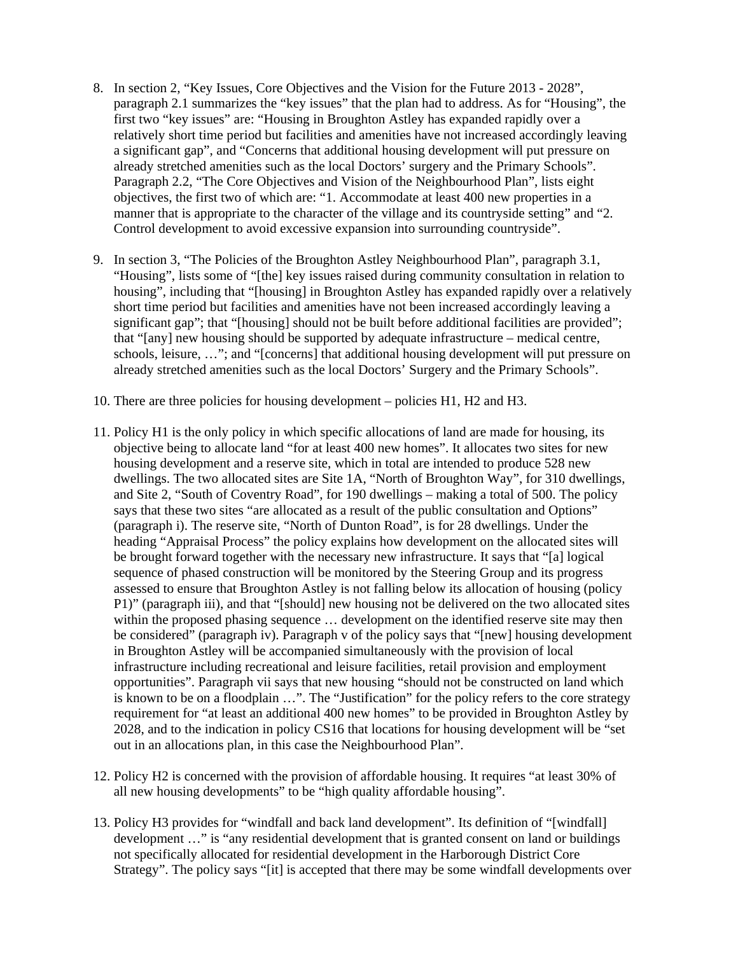- 8. In section 2, "Key Issues, Core Objectives and the Vision for the Future 2013 2028", paragraph 2.1 summarizes the "key issues" that the plan had to address. As for "Housing", the first two "key issues" are: "Housing in Broughton Astley has expanded rapidly over a relatively short time period but facilities and amenities have not increased accordingly leaving a significant gap", and "Concerns that additional housing development will put pressure on already stretched amenities such as the local Doctors' surgery and the Primary Schools". Paragraph 2.2, "The Core Objectives and Vision of the Neighbourhood Plan", lists eight objectives, the first two of which are: "1. Accommodate at least 400 new properties in a manner that is appropriate to the character of the village and its countryside setting" and "2. Control development to avoid excessive expansion into surrounding countryside".
- 9. In section 3, "The Policies of the Broughton Astley Neighbourhood Plan", paragraph 3.1, "Housing", lists some of "[the] key issues raised during community consultation in relation to housing", including that "[housing] in Broughton Astley has expanded rapidly over a relatively short time period but facilities and amenities have not been increased accordingly leaving a significant gap"; that "[housing] should not be built before additional facilities are provided"; that "[any] new housing should be supported by adequate infrastructure – medical centre, schools, leisure, …"; and "[concerns] that additional housing development will put pressure on already stretched amenities such as the local Doctors' Surgery and the Primary Schools".
- 10. There are three policies for housing development policies H1, H2 and H3.
- 11. Policy H1 is the only policy in which specific allocations of land are made for housing, its objective being to allocate land "for at least 400 new homes". It allocates two sites for new housing development and a reserve site, which in total are intended to produce 528 new dwellings. The two allocated sites are Site 1A, "North of Broughton Way", for 310 dwellings, and Site 2, "South of Coventry Road", for 190 dwellings – making a total of 500. The policy says that these two sites "are allocated as a result of the public consultation and Options" (paragraph i). The reserve site, "North of Dunton Road", is for 28 dwellings. Under the heading "Appraisal Process" the policy explains how development on the allocated sites will be brought forward together with the necessary new infrastructure. It says that "[a] logical sequence of phased construction will be monitored by the Steering Group and its progress assessed to ensure that Broughton Astley is not falling below its allocation of housing (policy P1)" (paragraph iii), and that "[should] new housing not be delivered on the two allocated sites within the proposed phasing sequence … development on the identified reserve site may then be considered" (paragraph iv). Paragraph v of the policy says that "[new] housing development in Broughton Astley will be accompanied simultaneously with the provision of local infrastructure including recreational and leisure facilities, retail provision and employment opportunities". Paragraph vii says that new housing "should not be constructed on land which is known to be on a floodplain …". The "Justification" for the policy refers to the core strategy requirement for "at least an additional 400 new homes" to be provided in Broughton Astley by 2028, and to the indication in policy CS16 that locations for housing development will be "set out in an allocations plan, in this case the Neighbourhood Plan".
- 12. Policy H2 is concerned with the provision of affordable housing. It requires "at least 30% of all new housing developments" to be "high quality affordable housing".
- 13. Policy H3 provides for "windfall and back land development". Its definition of "[windfall] development …" is "any residential development that is granted consent on land or buildings not specifically allocated for residential development in the Harborough District Core Strategy". The policy says "[it] is accepted that there may be some windfall developments over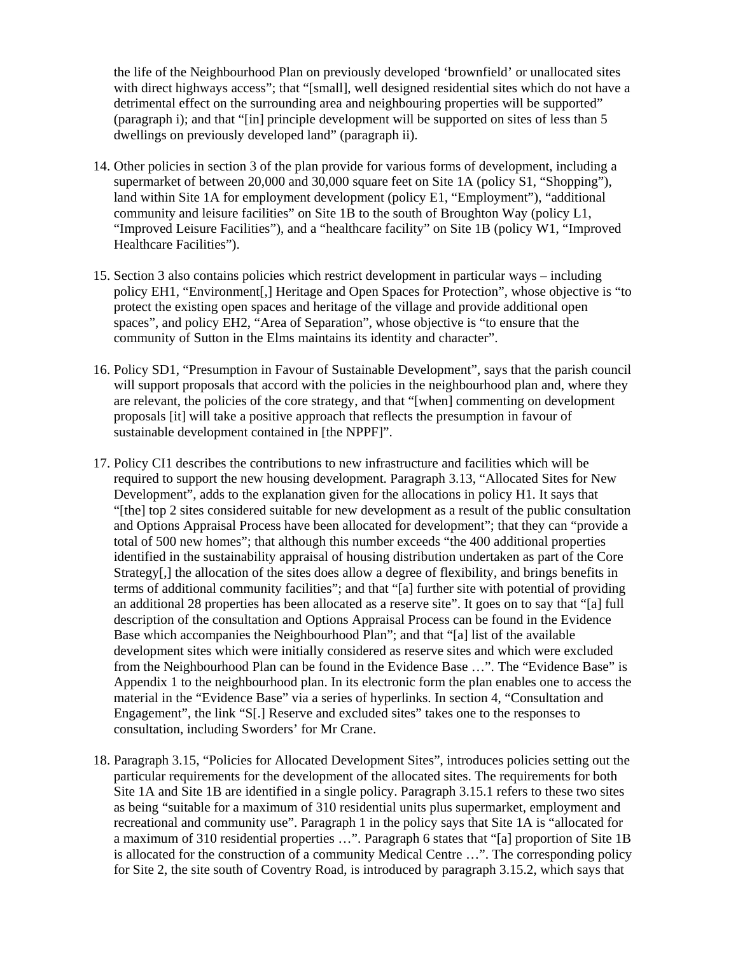the life of the Neighbourhood Plan on previously developed 'brownfield' or unallocated sites with direct highways access"; that "[small], well designed residential sites which do not have a detrimental effect on the surrounding area and neighbouring properties will be supported" (paragraph i); and that "[in] principle development will be supported on sites of less than 5 dwellings on previously developed land" (paragraph ii).

- 14. Other policies in section 3 of the plan provide for various forms of development, including a supermarket of between 20,000 and 30,000 square feet on Site 1A (policy S1, "Shopping"), land within Site 1A for employment development (policy E1, "Employment"), "additional community and leisure facilities" on Site 1B to the south of Broughton Way (policy L1, "Improved Leisure Facilities"), and a "healthcare facility" on Site 1B (policy W1, "Improved Healthcare Facilities").
- 15. Section 3 also contains policies which restrict development in particular ways including policy EH1, "Environment[,] Heritage and Open Spaces for Protection", whose objective is "to protect the existing open spaces and heritage of the village and provide additional open spaces", and policy EH2, "Area of Separation", whose objective is "to ensure that the community of Sutton in the Elms maintains its identity and character".
- 16. Policy SD1, "Presumption in Favour of Sustainable Development", says that the parish council will support proposals that accord with the policies in the neighbourhood plan and, where they are relevant, the policies of the core strategy, and that "[when] commenting on development proposals [it] will take a positive approach that reflects the presumption in favour of sustainable development contained in [the NPPF]".
- 17. Policy CI1 describes the contributions to new infrastructure and facilities which will be required to support the new housing development. Paragraph 3.13, "Allocated Sites for New Development", adds to the explanation given for the allocations in policy H1. It says that "[the] top 2 sites considered suitable for new development as a result of the public consultation and Options Appraisal Process have been allocated for development"; that they can "provide a total of 500 new homes"; that although this number exceeds "the 400 additional properties identified in the sustainability appraisal of housing distribution undertaken as part of the Core Strategy[,] the allocation of the sites does allow a degree of flexibility, and brings benefits in terms of additional community facilities"; and that "[a] further site with potential of providing an additional 28 properties has been allocated as a reserve site". It goes on to say that "[a] full description of the consultation and Options Appraisal Process can be found in the Evidence Base which accompanies the Neighbourhood Plan"; and that "[a] list of the available development sites which were initially considered as reserve sites and which were excluded from the Neighbourhood Plan can be found in the Evidence Base …". The "Evidence Base" is Appendix 1 to the neighbourhood plan. In its electronic form the plan enables one to access the material in the "Evidence Base" via a series of hyperlinks. In section 4, "Consultation and Engagement", the link "S[.] Reserve and excluded sites" takes one to the responses to consultation, including Sworders' for Mr Crane.
- 18. Paragraph 3.15, "Policies for Allocated Development Sites", introduces policies setting out the particular requirements for the development of the allocated sites. The requirements for both Site 1A and Site 1B are identified in a single policy. Paragraph 3.15.1 refers to these two sites as being "suitable for a maximum of 310 residential units plus supermarket, employment and recreational and community use". Paragraph 1 in the policy says that Site 1A is "allocated for a maximum of 310 residential properties …". Paragraph 6 states that "[a] proportion of Site 1B is allocated for the construction of a community Medical Centre …". The corresponding policy for Site 2, the site south of Coventry Road, is introduced by paragraph 3.15.2, which says that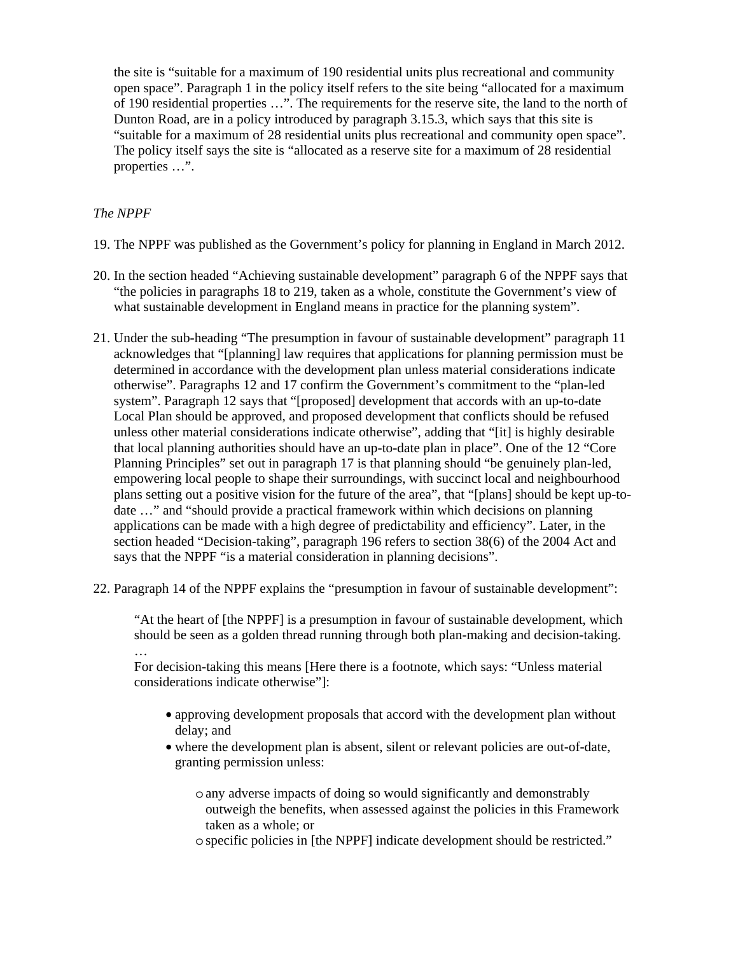the site is "suitable for a maximum of 190 residential units plus recreational and community open space". Paragraph 1 in the policy itself refers to the site being "allocated for a maximum of 190 residential properties …". The requirements for the reserve site, the land to the north of Dunton Road, are in a policy introduced by paragraph 3.15.3, which says that this site is "suitable for a maximum of 28 residential units plus recreational and community open space". The policy itself says the site is "allocated as a reserve site for a maximum of 28 residential properties …".

## *The NPPF*

…

- 19. The NPPF was published as the Government's policy for planning in England in March 2012.
- 20. In the section headed "Achieving sustainable development" paragraph 6 of the NPPF says that "the policies in paragraphs 18 to 219, taken as a whole, constitute the Government's view of what sustainable development in England means in practice for the planning system".
- 21. Under the sub-heading "The presumption in favour of sustainable development" paragraph 11 acknowledges that "[planning] law requires that applications for planning permission must be determined in accordance with the development plan unless material considerations indicate otherwise". Paragraphs 12 and 17 confirm the Government's commitment to the "plan-led system". Paragraph 12 says that "[proposed] development that accords with an up-to-date Local Plan should be approved, and proposed development that conflicts should be refused unless other material considerations indicate otherwise", adding that "[it] is highly desirable that local planning authorities should have an up-to-date plan in place". One of the 12 "Core Planning Principles" set out in paragraph 17 is that planning should "be genuinely plan-led, empowering local people to shape their surroundings, with succinct local and neighbourhood plans setting out a positive vision for the future of the area", that "[plans] should be kept up-todate …" and "should provide a practical framework within which decisions on planning applications can be made with a high degree of predictability and efficiency". Later, in the section headed "Decision-taking", paragraph 196 refers to section 38(6) of the 2004 Act and says that the NPPF "is a material consideration in planning decisions".
- 22. Paragraph 14 of the NPPF explains the "presumption in favour of sustainable development":

"At the heart of [the NPPF] is a presumption in favour of sustainable development, which should be seen as a golden thread running through both plan-making and decision-taking.

For decision-taking this means [Here there is a footnote, which says: "Unless material considerations indicate otherwise"]:

- approving development proposals that accord with the development plan without delay; and
- where the development plan is absent, silent or relevant policies are out-of-date, granting permission unless:
	- o any adverse impacts of doing so would significantly and demonstrably outweigh the benefits, when assessed against the policies in this Framework taken as a whole; or
	- o specific policies in [the NPPF] indicate development should be restricted."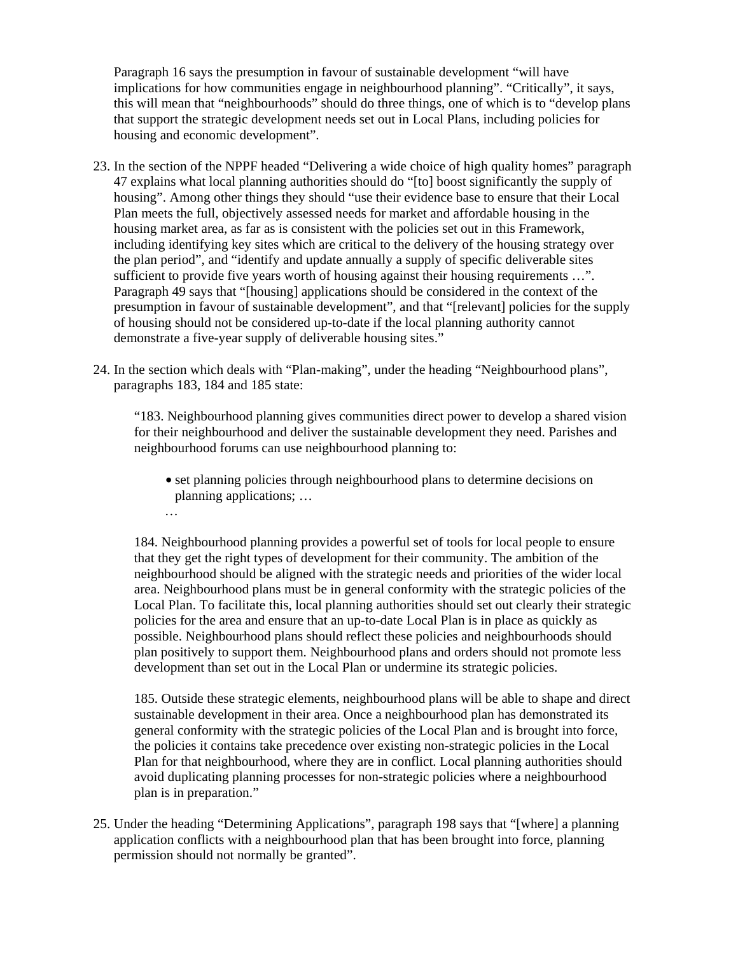Paragraph 16 says the presumption in favour of sustainable development "will have implications for how communities engage in neighbourhood planning". "Critically", it says, this will mean that "neighbourhoods" should do three things, one of which is to "develop plans that support the strategic development needs set out in Local Plans, including policies for housing and economic development".

- 23. In the section of the NPPF headed "Delivering a wide choice of high quality homes" paragraph 47 explains what local planning authorities should do "[to] boost significantly the supply of housing". Among other things they should "use their evidence base to ensure that their Local Plan meets the full, objectively assessed needs for market and affordable housing in the housing market area, as far as is consistent with the policies set out in this Framework, including identifying key sites which are critical to the delivery of the housing strategy over the plan period", and "identify and update annually a supply of specific deliverable sites sufficient to provide five years worth of housing against their housing requirements ...". Paragraph 49 says that "[housing] applications should be considered in the context of the presumption in favour of sustainable development", and that "[relevant] policies for the supply of housing should not be considered up-to-date if the local planning authority cannot demonstrate a five-year supply of deliverable housing sites."
- 24. In the section which deals with "Plan-making", under the heading "Neighbourhood plans", paragraphs 183, 184 and 185 state:

…

"183. Neighbourhood planning gives communities direct power to develop a shared vision for their neighbourhood and deliver the sustainable development they need. Parishes and neighbourhood forums can use neighbourhood planning to:

• set planning policies through neighbourhood plans to determine decisions on planning applications; …

184. Neighbourhood planning provides a powerful set of tools for local people to ensure that they get the right types of development for their community. The ambition of the neighbourhood should be aligned with the strategic needs and priorities of the wider local area. Neighbourhood plans must be in general conformity with the strategic policies of the Local Plan. To facilitate this, local planning authorities should set out clearly their strategic policies for the area and ensure that an up-to-date Local Plan is in place as quickly as possible. Neighbourhood plans should reflect these policies and neighbourhoods should plan positively to support them. Neighbourhood plans and orders should not promote less development than set out in the Local Plan or undermine its strategic policies.

185. Outside these strategic elements, neighbourhood plans will be able to shape and direct sustainable development in their area. Once a neighbourhood plan has demonstrated its general conformity with the strategic policies of the Local Plan and is brought into force, the policies it contains take precedence over existing non-strategic policies in the Local Plan for that neighbourhood, where they are in conflict. Local planning authorities should avoid duplicating planning processes for non-strategic policies where a neighbourhood plan is in preparation."

25. Under the heading "Determining Applications", paragraph 198 says that "[where] a planning application conflicts with a neighbourhood plan that has been brought into force, planning permission should not normally be granted".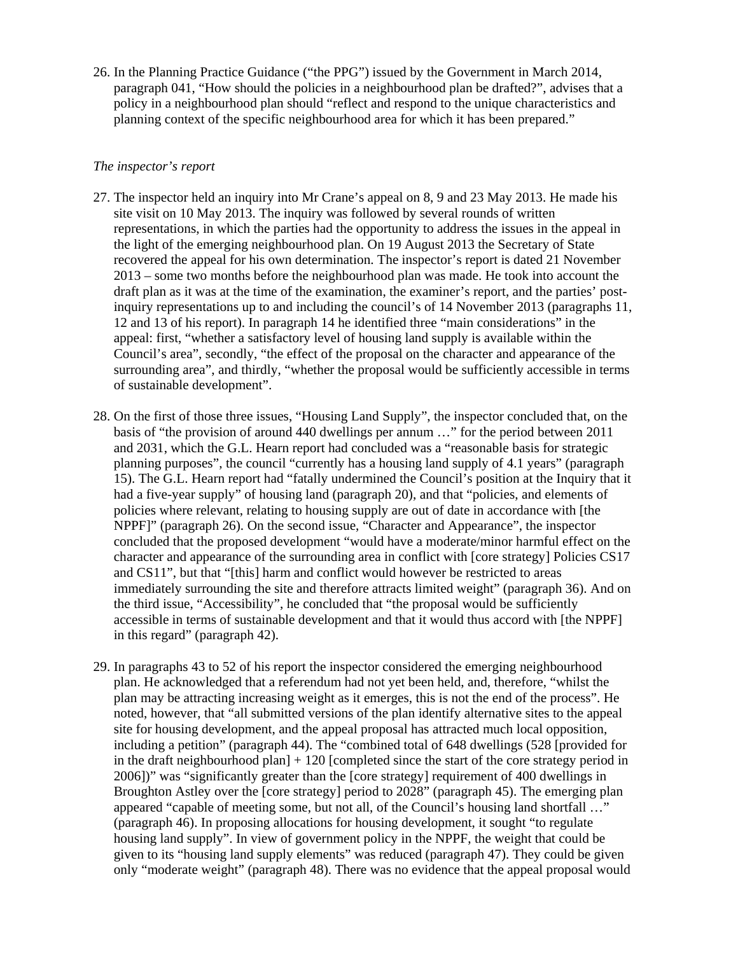26. In the Planning Practice Guidance ("the PPG") issued by the Government in March 2014, paragraph 041, "How should the policies in a neighbourhood plan be drafted?", advises that a policy in a neighbourhood plan should "reflect and respond to the unique characteristics and planning context of the specific neighbourhood area for which it has been prepared."

## *The inspector's report*

- 27. The inspector held an inquiry into Mr Crane's appeal on 8, 9 and 23 May 2013. He made his site visit on 10 May 2013. The inquiry was followed by several rounds of written representations, in which the parties had the opportunity to address the issues in the appeal in the light of the emerging neighbourhood plan. On 19 August 2013 the Secretary of State recovered the appeal for his own determination. The inspector's report is dated 21 November 2013 – some two months before the neighbourhood plan was made. He took into account the draft plan as it was at the time of the examination, the examiner's report, and the parties' postinquiry representations up to and including the council's of 14 November 2013 (paragraphs 11, 12 and 13 of his report). In paragraph 14 he identified three "main considerations" in the appeal: first, "whether a satisfactory level of housing land supply is available within the Council's area", secondly, "the effect of the proposal on the character and appearance of the surrounding area", and thirdly, "whether the proposal would be sufficiently accessible in terms of sustainable development".
- 28. On the first of those three issues, "Housing Land Supply", the inspector concluded that, on the basis of "the provision of around 440 dwellings per annum …" for the period between 2011 and 2031, which the G.L. Hearn report had concluded was a "reasonable basis for strategic planning purposes", the council "currently has a housing land supply of 4.1 years" (paragraph 15). The G.L. Hearn report had "fatally undermined the Council's position at the Inquiry that it had a five-year supply" of housing land (paragraph 20), and that "policies, and elements of policies where relevant, relating to housing supply are out of date in accordance with [the NPPF]" (paragraph 26). On the second issue, "Character and Appearance", the inspector concluded that the proposed development "would have a moderate/minor harmful effect on the character and appearance of the surrounding area in conflict with [core strategy] Policies CS17 and CS11", but that "[this] harm and conflict would however be restricted to areas immediately surrounding the site and therefore attracts limited weight" (paragraph 36). And on the third issue, "Accessibility", he concluded that "the proposal would be sufficiently accessible in terms of sustainable development and that it would thus accord with [the NPPF] in this regard" (paragraph 42).
- 29. In paragraphs 43 to 52 of his report the inspector considered the emerging neighbourhood plan. He acknowledged that a referendum had not yet been held, and, therefore, "whilst the plan may be attracting increasing weight as it emerges, this is not the end of the process". He noted, however, that "all submitted versions of the plan identify alternative sites to the appeal site for housing development, and the appeal proposal has attracted much local opposition, including a petition" (paragraph 44). The "combined total of 648 dwellings (528 [provided for in the draft neighbourhood plan] + 120 [completed since the start of the core strategy period in 2006])" was "significantly greater than the [core strategy] requirement of 400 dwellings in Broughton Astley over the [core strategy] period to 2028" (paragraph 45). The emerging plan appeared "capable of meeting some, but not all, of the Council's housing land shortfall …" (paragraph 46). In proposing allocations for housing development, it sought "to regulate housing land supply". In view of government policy in the NPPF, the weight that could be given to its "housing land supply elements" was reduced (paragraph 47). They could be given only "moderate weight" (paragraph 48). There was no evidence that the appeal proposal would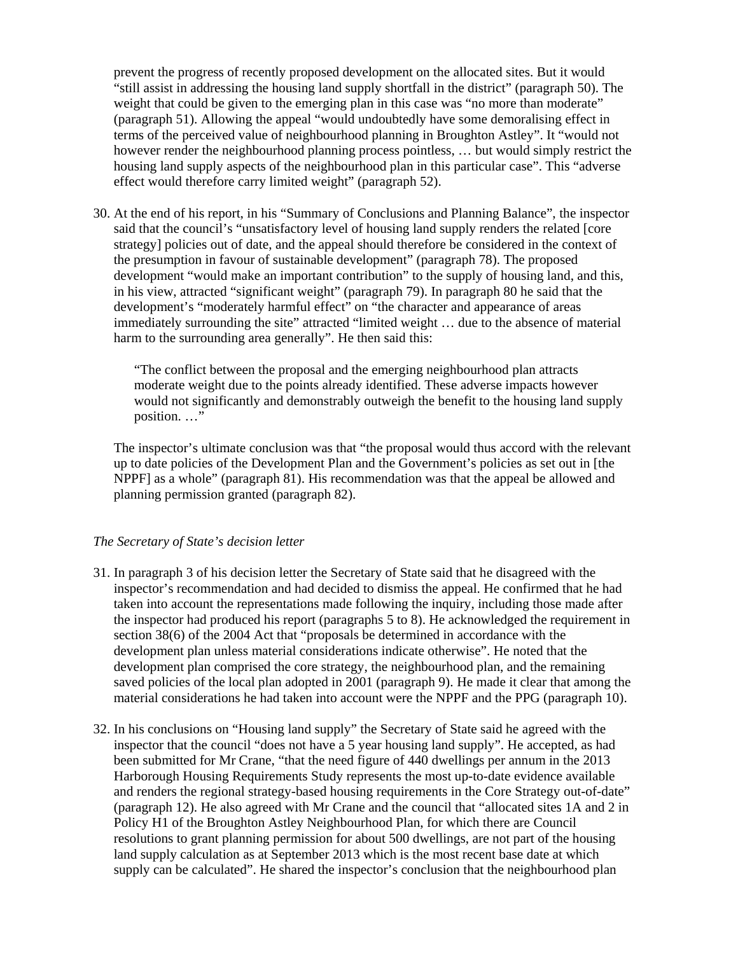prevent the progress of recently proposed development on the allocated sites. But it would "still assist in addressing the housing land supply shortfall in the district" (paragraph 50). The weight that could be given to the emerging plan in this case was "no more than moderate" (paragraph 51). Allowing the appeal "would undoubtedly have some demoralising effect in terms of the perceived value of neighbourhood planning in Broughton Astley". It "would not however render the neighbourhood planning process pointless, … but would simply restrict the housing land supply aspects of the neighbourhood plan in this particular case". This "adverse effect would therefore carry limited weight" (paragraph 52).

30. At the end of his report, in his "Summary of Conclusions and Planning Balance", the inspector said that the council's "unsatisfactory level of housing land supply renders the related [core strategy] policies out of date, and the appeal should therefore be considered in the context of the presumption in favour of sustainable development" (paragraph 78). The proposed development "would make an important contribution" to the supply of housing land, and this, in his view, attracted "significant weight" (paragraph 79). In paragraph 80 he said that the development's "moderately harmful effect" on "the character and appearance of areas immediately surrounding the site" attracted "limited weight … due to the absence of material harm to the surrounding area generally". He then said this:

"The conflict between the proposal and the emerging neighbourhood plan attracts moderate weight due to the points already identified. These adverse impacts however would not significantly and demonstrably outweigh the benefit to the housing land supply position. …"

The inspector's ultimate conclusion was that "the proposal would thus accord with the relevant up to date policies of the Development Plan and the Government's policies as set out in [the NPPF] as a whole" (paragraph 81). His recommendation was that the appeal be allowed and planning permission granted (paragraph 82).

### *The Secretary of State's decision letter*

- 31. In paragraph 3 of his decision letter the Secretary of State said that he disagreed with the inspector's recommendation and had decided to dismiss the appeal. He confirmed that he had taken into account the representations made following the inquiry, including those made after the inspector had produced his report (paragraphs 5 to 8). He acknowledged the requirement in section 38(6) of the 2004 Act that "proposals be determined in accordance with the development plan unless material considerations indicate otherwise". He noted that the development plan comprised the core strategy, the neighbourhood plan, and the remaining saved policies of the local plan adopted in 2001 (paragraph 9). He made it clear that among the material considerations he had taken into account were the NPPF and the PPG (paragraph 10).
- 32. In his conclusions on "Housing land supply" the Secretary of State said he agreed with the inspector that the council "does not have a 5 year housing land supply". He accepted, as had been submitted for Mr Crane, "that the need figure of 440 dwellings per annum in the 2013 Harborough Housing Requirements Study represents the most up-to-date evidence available and renders the regional strategy-based housing requirements in the Core Strategy out-of-date" (paragraph 12). He also agreed with Mr Crane and the council that "allocated sites 1A and 2 in Policy H1 of the Broughton Astley Neighbourhood Plan, for which there are Council resolutions to grant planning permission for about 500 dwellings, are not part of the housing land supply calculation as at September 2013 which is the most recent base date at which supply can be calculated". He shared the inspector's conclusion that the neighbourhood plan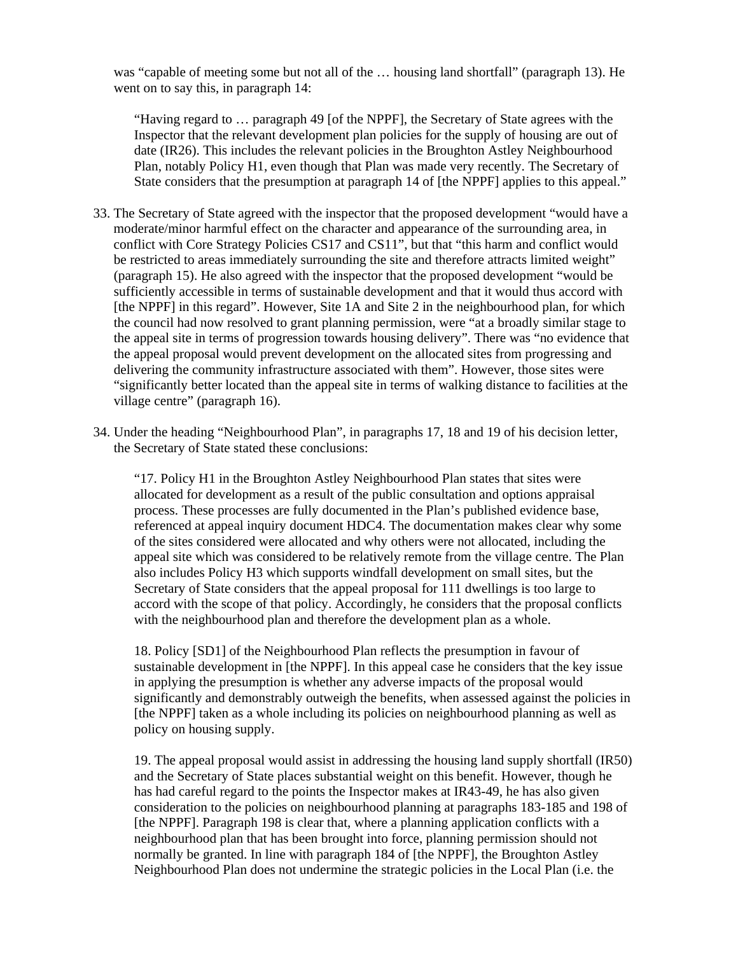was "capable of meeting some but not all of the … housing land shortfall" (paragraph 13). He went on to say this, in paragraph 14:

"Having regard to … paragraph 49 [of the NPPF], the Secretary of State agrees with the Inspector that the relevant development plan policies for the supply of housing are out of date (IR26). This includes the relevant policies in the Broughton Astley Neighbourhood Plan, notably Policy H1, even though that Plan was made very recently. The Secretary of State considers that the presumption at paragraph 14 of [the NPPF] applies to this appeal."

- 33. The Secretary of State agreed with the inspector that the proposed development "would have a moderate/minor harmful effect on the character and appearance of the surrounding area, in conflict with Core Strategy Policies CS17 and CS11", but that "this harm and conflict would be restricted to areas immediately surrounding the site and therefore attracts limited weight" (paragraph 15). He also agreed with the inspector that the proposed development "would be sufficiently accessible in terms of sustainable development and that it would thus accord with [the NPPF] in this regard". However, Site 1A and Site 2 in the neighbourhood plan, for which the council had now resolved to grant planning permission, were "at a broadly similar stage to the appeal site in terms of progression towards housing delivery". There was "no evidence that the appeal proposal would prevent development on the allocated sites from progressing and delivering the community infrastructure associated with them". However, those sites were "significantly better located than the appeal site in terms of walking distance to facilities at the village centre" (paragraph 16).
- 34. Under the heading "Neighbourhood Plan", in paragraphs 17, 18 and 19 of his decision letter, the Secretary of State stated these conclusions:

"17. Policy H1 in the Broughton Astley Neighbourhood Plan states that sites were allocated for development as a result of the public consultation and options appraisal process. These processes are fully documented in the Plan's published evidence base, referenced at appeal inquiry document HDC4. The documentation makes clear why some of the sites considered were allocated and why others were not allocated, including the appeal site which was considered to be relatively remote from the village centre. The Plan also includes Policy H3 which supports windfall development on small sites, but the Secretary of State considers that the appeal proposal for 111 dwellings is too large to accord with the scope of that policy. Accordingly, he considers that the proposal conflicts with the neighbourhood plan and therefore the development plan as a whole.

18. Policy [SD1] of the Neighbourhood Plan reflects the presumption in favour of sustainable development in [the NPPF]. In this appeal case he considers that the key issue in applying the presumption is whether any adverse impacts of the proposal would significantly and demonstrably outweigh the benefits, when assessed against the policies in [the NPPF] taken as a whole including its policies on neighbourhood planning as well as policy on housing supply.

19. The appeal proposal would assist in addressing the housing land supply shortfall (IR50) and the Secretary of State places substantial weight on this benefit. However, though he has had careful regard to the points the Inspector makes at IR43-49, he has also given consideration to the policies on neighbourhood planning at paragraphs 183-185 and 198 of [the NPPF]. Paragraph 198 is clear that, where a planning application conflicts with a neighbourhood plan that has been brought into force, planning permission should not normally be granted. In line with paragraph 184 of [the NPPF], the Broughton Astley Neighbourhood Plan does not undermine the strategic policies in the Local Plan (i.e. the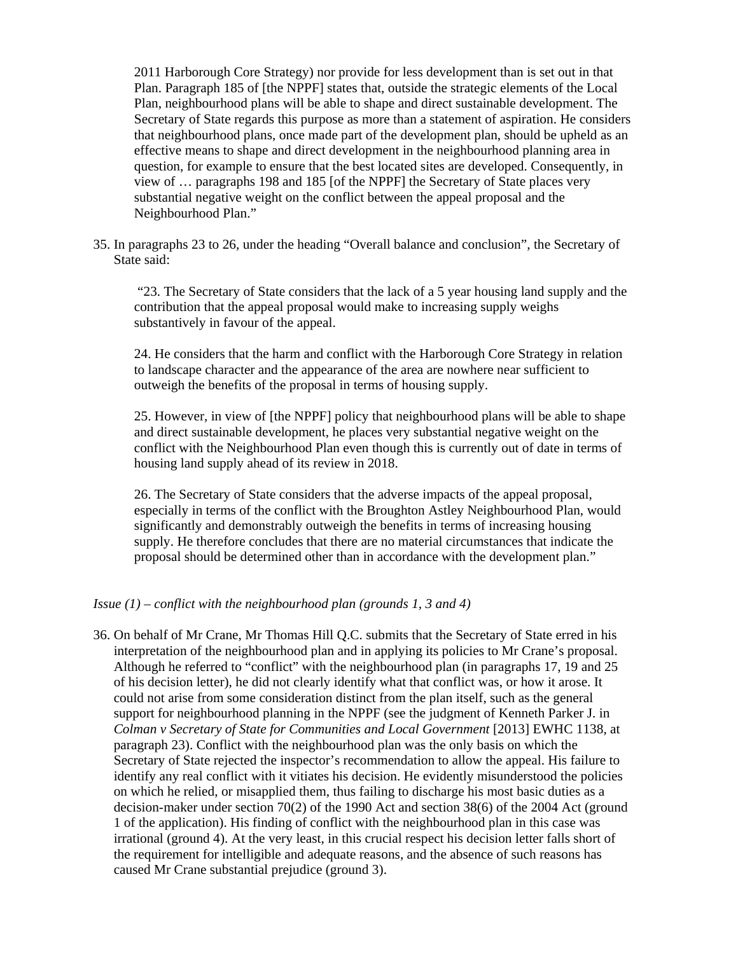2011 Harborough Core Strategy) nor provide for less development than is set out in that Plan. Paragraph 185 of [the NPPF] states that, outside the strategic elements of the Local Plan, neighbourhood plans will be able to shape and direct sustainable development. The Secretary of State regards this purpose as more than a statement of aspiration. He considers that neighbourhood plans, once made part of the development plan, should be upheld as an effective means to shape and direct development in the neighbourhood planning area in question, for example to ensure that the best located sites are developed. Consequently, in view of … paragraphs 198 and 185 [of the NPPF] the Secretary of State places very substantial negative weight on the conflict between the appeal proposal and the Neighbourhood Plan."

35. In paragraphs 23 to 26, under the heading "Overall balance and conclusion", the Secretary of State said:

 "23. The Secretary of State considers that the lack of a 5 year housing land supply and the contribution that the appeal proposal would make to increasing supply weighs substantively in favour of the appeal.

24. He considers that the harm and conflict with the Harborough Core Strategy in relation to landscape character and the appearance of the area are nowhere near sufficient to outweigh the benefits of the proposal in terms of housing supply.

25. However, in view of [the NPPF] policy that neighbourhood plans will be able to shape and direct sustainable development, he places very substantial negative weight on the conflict with the Neighbourhood Plan even though this is currently out of date in terms of housing land supply ahead of its review in 2018.

26. The Secretary of State considers that the adverse impacts of the appeal proposal, especially in terms of the conflict with the Broughton Astley Neighbourhood Plan, would significantly and demonstrably outweigh the benefits in terms of increasing housing supply. He therefore concludes that there are no material circumstances that indicate the proposal should be determined other than in accordance with the development plan."

#### *Issue (1) – conflict with the neighbourhood plan (grounds 1, 3 and 4)*

36. On behalf of Mr Crane, Mr Thomas Hill Q.C. submits that the Secretary of State erred in his interpretation of the neighbourhood plan and in applying its policies to Mr Crane's proposal. Although he referred to "conflict" with the neighbourhood plan (in paragraphs 17, 19 and 25 of his decision letter), he did not clearly identify what that conflict was, or how it arose. It could not arise from some consideration distinct from the plan itself, such as the general support for neighbourhood planning in the NPPF (see the judgment of Kenneth Parker J. in *Colman v Secretary of State for Communities and Local Government* [2013] EWHC 1138, at paragraph 23). Conflict with the neighbourhood plan was the only basis on which the Secretary of State rejected the inspector's recommendation to allow the appeal. His failure to identify any real conflict with it vitiates his decision. He evidently misunderstood the policies on which he relied, or misapplied them, thus failing to discharge his most basic duties as a decision-maker under section 70(2) of the 1990 Act and section 38(6) of the 2004 Act (ground 1 of the application). His finding of conflict with the neighbourhood plan in this case was irrational (ground 4). At the very least, in this crucial respect his decision letter falls short of the requirement for intelligible and adequate reasons, and the absence of such reasons has caused Mr Crane substantial prejudice (ground 3).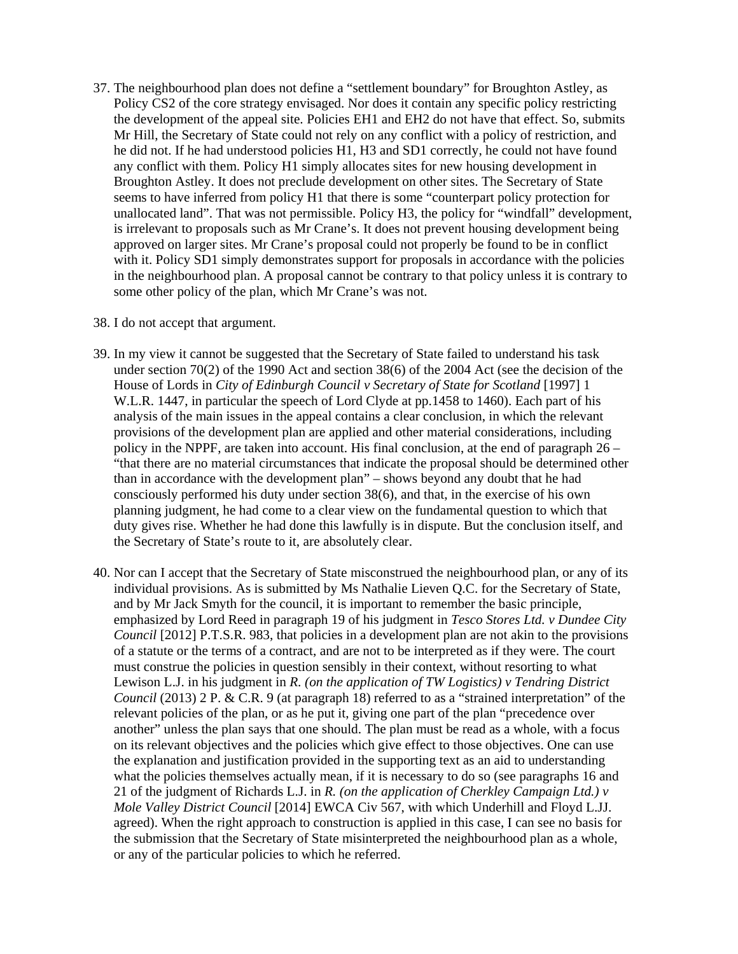37. The neighbourhood plan does not define a "settlement boundary" for Broughton Astley, as Policy CS2 of the core strategy envisaged. Nor does it contain any specific policy restricting the development of the appeal site. Policies EH1 and EH2 do not have that effect. So, submits Mr Hill, the Secretary of State could not rely on any conflict with a policy of restriction, and he did not. If he had understood policies H1, H3 and SD1 correctly, he could not have found any conflict with them. Policy H1 simply allocates sites for new housing development in Broughton Astley. It does not preclude development on other sites. The Secretary of State seems to have inferred from policy H1 that there is some "counterpart policy protection for unallocated land". That was not permissible. Policy H3, the policy for "windfall" development, is irrelevant to proposals such as Mr Crane's. It does not prevent housing development being approved on larger sites. Mr Crane's proposal could not properly be found to be in conflict with it. Policy SD1 simply demonstrates support for proposals in accordance with the policies in the neighbourhood plan. A proposal cannot be contrary to that policy unless it is contrary to some other policy of the plan, which Mr Crane's was not.

#### 38. I do not accept that argument.

- 39. In my view it cannot be suggested that the Secretary of State failed to understand his task under section 70(2) of the 1990 Act and section 38(6) of the 2004 Act (see the decision of the House of Lords in *City of Edinburgh Council v Secretary of State for Scotland* [1997] 1 W.L.R. 1447, in particular the speech of Lord Clyde at pp.1458 to 1460). Each part of his analysis of the main issues in the appeal contains a clear conclusion, in which the relevant provisions of the development plan are applied and other material considerations, including policy in the NPPF, are taken into account. His final conclusion, at the end of paragraph 26 – "that there are no material circumstances that indicate the proposal should be determined other than in accordance with the development plan" – shows beyond any doubt that he had consciously performed his duty under section 38(6), and that, in the exercise of his own planning judgment, he had come to a clear view on the fundamental question to which that duty gives rise. Whether he had done this lawfully is in dispute. But the conclusion itself, and the Secretary of State's route to it, are absolutely clear.
- 40. Nor can I accept that the Secretary of State misconstrued the neighbourhood plan, or any of its individual provisions. As is submitted by Ms Nathalie Lieven Q.C. for the Secretary of State, and by Mr Jack Smyth for the council, it is important to remember the basic principle, emphasized by Lord Reed in paragraph 19 of his judgment in *Tesco Stores Ltd. v Dundee City Council* [2012] P.T.S.R. 983, that policies in a development plan are not akin to the provisions of a statute or the terms of a contract, and are not to be interpreted as if they were. The court must construe the policies in question sensibly in their context, without resorting to what Lewison L.J. in his judgment in *R. (on the application of TW Logistics) v Tendring District Council* (2013) 2 P. & C.R. 9 (at paragraph 18) referred to as a "strained interpretation" of the relevant policies of the plan, or as he put it, giving one part of the plan "precedence over another" unless the plan says that one should. The plan must be read as a whole, with a focus on its relevant objectives and the policies which give effect to those objectives. One can use the explanation and justification provided in the supporting text as an aid to understanding what the policies themselves actually mean, if it is necessary to do so (see paragraphs 16 and 21 of the judgment of Richards L.J. in *R. (on the application of Cherkley Campaign Ltd.) v Mole Valley District Council* [2014] EWCA Civ 567, with which Underhill and Floyd L.JJ. agreed). When the right approach to construction is applied in this case, I can see no basis for the submission that the Secretary of State misinterpreted the neighbourhood plan as a whole, or any of the particular policies to which he referred.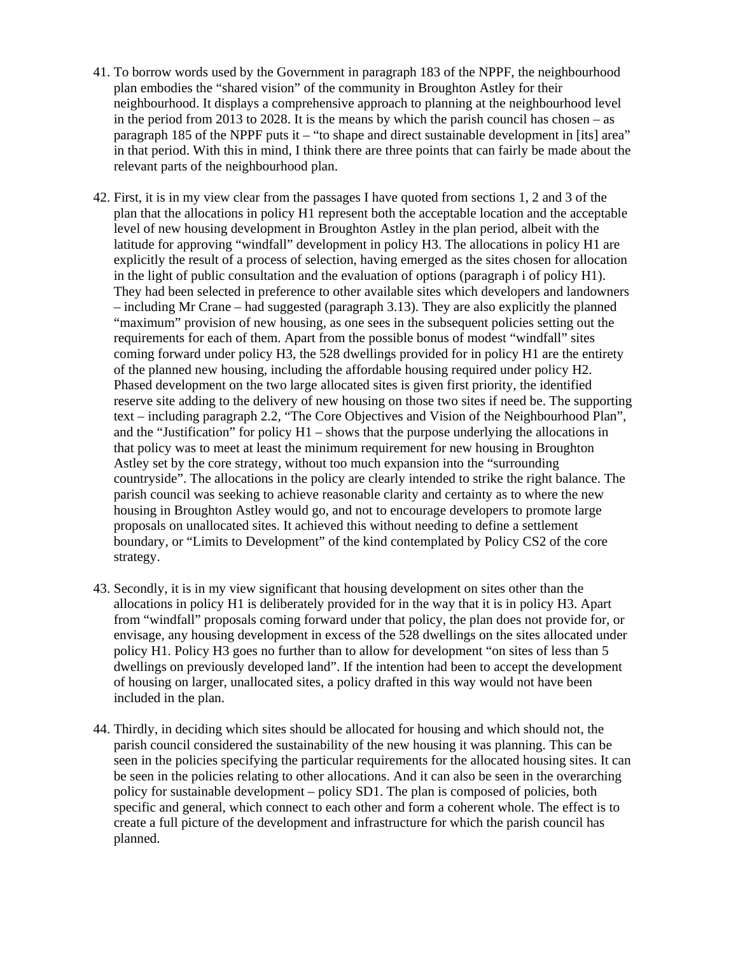- 41. To borrow words used by the Government in paragraph 183 of the NPPF, the neighbourhood plan embodies the "shared vision" of the community in Broughton Astley for their neighbourhood. It displays a comprehensive approach to planning at the neighbourhood level in the period from 2013 to 2028. It is the means by which the parish council has chosen – as paragraph 185 of the NPPF puts it – "to shape and direct sustainable development in [its] area" in that period. With this in mind, I think there are three points that can fairly be made about the relevant parts of the neighbourhood plan.
- 42. First, it is in my view clear from the passages I have quoted from sections 1, 2 and 3 of the plan that the allocations in policy H1 represent both the acceptable location and the acceptable level of new housing development in Broughton Astley in the plan period, albeit with the latitude for approving "windfall" development in policy H3. The allocations in policy H1 are explicitly the result of a process of selection, having emerged as the sites chosen for allocation in the light of public consultation and the evaluation of options (paragraph i of policy H1). They had been selected in preference to other available sites which developers and landowners – including Mr Crane – had suggested (paragraph 3.13). They are also explicitly the planned "maximum" provision of new housing, as one sees in the subsequent policies setting out the requirements for each of them. Apart from the possible bonus of modest "windfall" sites coming forward under policy H3, the 528 dwellings provided for in policy H1 are the entirety of the planned new housing, including the affordable housing required under policy H2. Phased development on the two large allocated sites is given first priority, the identified reserve site adding to the delivery of new housing on those two sites if need be. The supporting text – including paragraph 2.2, "The Core Objectives and Vision of the Neighbourhood Plan", and the "Justification" for policy  $H1$  – shows that the purpose underlying the allocations in that policy was to meet at least the minimum requirement for new housing in Broughton Astley set by the core strategy, without too much expansion into the "surrounding countryside". The allocations in the policy are clearly intended to strike the right balance. The parish council was seeking to achieve reasonable clarity and certainty as to where the new housing in Broughton Astley would go, and not to encourage developers to promote large proposals on unallocated sites. It achieved this without needing to define a settlement boundary, or "Limits to Development" of the kind contemplated by Policy CS2 of the core strategy.
- 43. Secondly, it is in my view significant that housing development on sites other than the allocations in policy H1 is deliberately provided for in the way that it is in policy H3. Apart from "windfall" proposals coming forward under that policy, the plan does not provide for, or envisage, any housing development in excess of the 528 dwellings on the sites allocated under policy H1. Policy H3 goes no further than to allow for development "on sites of less than 5 dwellings on previously developed land". If the intention had been to accept the development of housing on larger, unallocated sites, a policy drafted in this way would not have been included in the plan.
- 44. Thirdly, in deciding which sites should be allocated for housing and which should not, the parish council considered the sustainability of the new housing it was planning. This can be seen in the policies specifying the particular requirements for the allocated housing sites. It can be seen in the policies relating to other allocations. And it can also be seen in the overarching policy for sustainable development – policy SD1. The plan is composed of policies, both specific and general, which connect to each other and form a coherent whole. The effect is to create a full picture of the development and infrastructure for which the parish council has planned.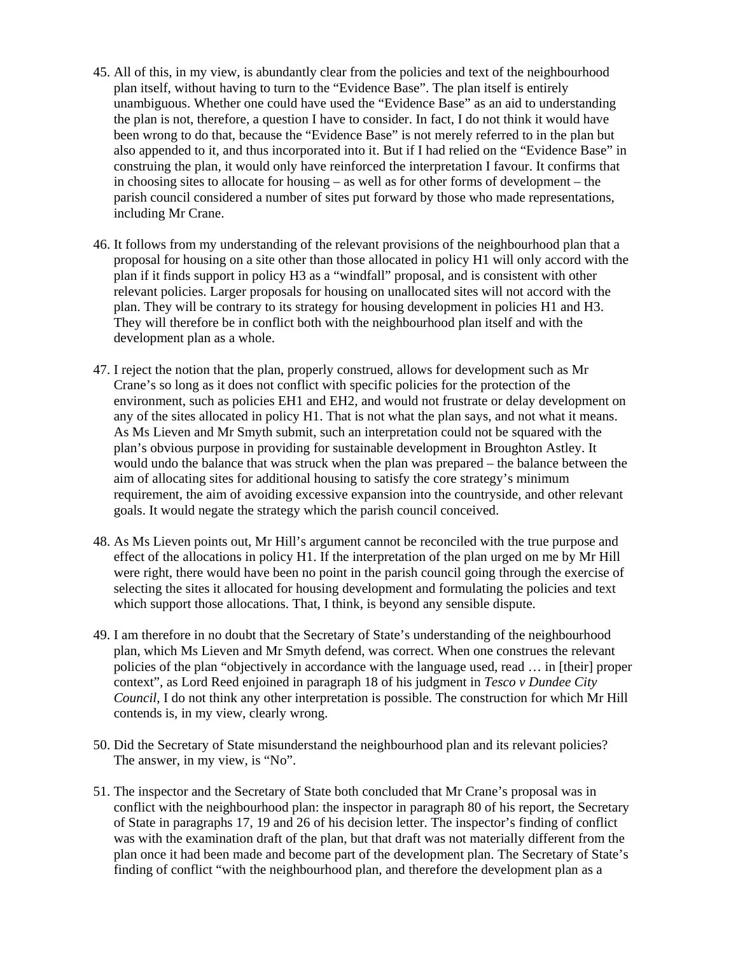- 45. All of this, in my view, is abundantly clear from the policies and text of the neighbourhood plan itself, without having to turn to the "Evidence Base". The plan itself is entirely unambiguous. Whether one could have used the "Evidence Base" as an aid to understanding the plan is not, therefore, a question I have to consider. In fact, I do not think it would have been wrong to do that, because the "Evidence Base" is not merely referred to in the plan but also appended to it, and thus incorporated into it. But if I had relied on the "Evidence Base" in construing the plan, it would only have reinforced the interpretation I favour. It confirms that in choosing sites to allocate for housing – as well as for other forms of development – the parish council considered a number of sites put forward by those who made representations, including Mr Crane.
- 46. It follows from my understanding of the relevant provisions of the neighbourhood plan that a proposal for housing on a site other than those allocated in policy H1 will only accord with the plan if it finds support in policy H3 as a "windfall" proposal, and is consistent with other relevant policies. Larger proposals for housing on unallocated sites will not accord with the plan. They will be contrary to its strategy for housing development in policies H1 and H3. They will therefore be in conflict both with the neighbourhood plan itself and with the development plan as a whole.
- 47. I reject the notion that the plan, properly construed, allows for development such as Mr Crane's so long as it does not conflict with specific policies for the protection of the environment, such as policies EH1 and EH2, and would not frustrate or delay development on any of the sites allocated in policy H1. That is not what the plan says, and not what it means. As Ms Lieven and Mr Smyth submit, such an interpretation could not be squared with the plan's obvious purpose in providing for sustainable development in Broughton Astley. It would undo the balance that was struck when the plan was prepared – the balance between the aim of allocating sites for additional housing to satisfy the core strategy's minimum requirement, the aim of avoiding excessive expansion into the countryside, and other relevant goals. It would negate the strategy which the parish council conceived.
- 48. As Ms Lieven points out, Mr Hill's argument cannot be reconciled with the true purpose and effect of the allocations in policy H1. If the interpretation of the plan urged on me by Mr Hill were right, there would have been no point in the parish council going through the exercise of selecting the sites it allocated for housing development and formulating the policies and text which support those allocations. That, I think, is beyond any sensible dispute.
- 49. I am therefore in no doubt that the Secretary of State's understanding of the neighbourhood plan, which Ms Lieven and Mr Smyth defend, was correct. When one construes the relevant policies of the plan "objectively in accordance with the language used, read … in [their] proper context", as Lord Reed enjoined in paragraph 18 of his judgment in *Tesco v Dundee City Council*, I do not think any other interpretation is possible. The construction for which Mr Hill contends is, in my view, clearly wrong.
- 50. Did the Secretary of State misunderstand the neighbourhood plan and its relevant policies? The answer, in my view, is "No".
- 51. The inspector and the Secretary of State both concluded that Mr Crane's proposal was in conflict with the neighbourhood plan: the inspector in paragraph 80 of his report, the Secretary of State in paragraphs 17, 19 and 26 of his decision letter. The inspector's finding of conflict was with the examination draft of the plan, but that draft was not materially different from the plan once it had been made and become part of the development plan. The Secretary of State's finding of conflict "with the neighbourhood plan, and therefore the development plan as a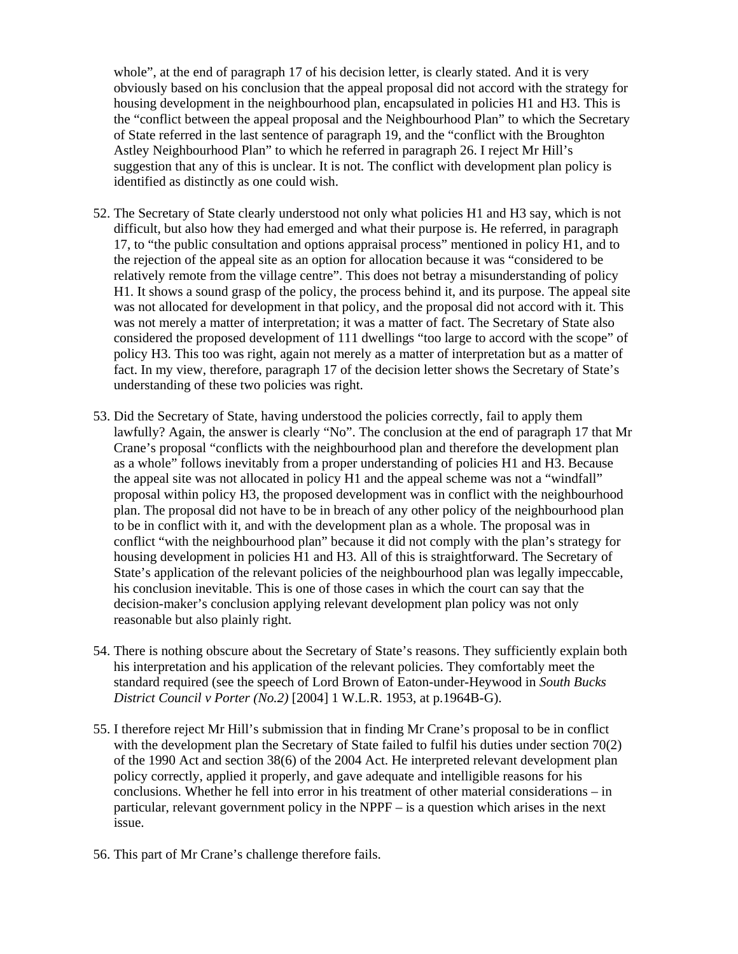whole", at the end of paragraph 17 of his decision letter, is clearly stated. And it is very obviously based on his conclusion that the appeal proposal did not accord with the strategy for housing development in the neighbourhood plan, encapsulated in policies H1 and H3. This is the "conflict between the appeal proposal and the Neighbourhood Plan" to which the Secretary of State referred in the last sentence of paragraph 19, and the "conflict with the Broughton Astley Neighbourhood Plan" to which he referred in paragraph 26. I reject Mr Hill's suggestion that any of this is unclear. It is not. The conflict with development plan policy is identified as distinctly as one could wish.

- 52. The Secretary of State clearly understood not only what policies H1 and H3 say, which is not difficult, but also how they had emerged and what their purpose is. He referred, in paragraph 17, to "the public consultation and options appraisal process" mentioned in policy H1, and to the rejection of the appeal site as an option for allocation because it was "considered to be relatively remote from the village centre". This does not betray a misunderstanding of policy H1. It shows a sound grasp of the policy, the process behind it, and its purpose. The appeal site was not allocated for development in that policy, and the proposal did not accord with it. This was not merely a matter of interpretation; it was a matter of fact. The Secretary of State also considered the proposed development of 111 dwellings "too large to accord with the scope" of policy H3. This too was right, again not merely as a matter of interpretation but as a matter of fact. In my view, therefore, paragraph 17 of the decision letter shows the Secretary of State's understanding of these two policies was right.
- 53. Did the Secretary of State, having understood the policies correctly, fail to apply them lawfully? Again, the answer is clearly "No". The conclusion at the end of paragraph 17 that Mr Crane's proposal "conflicts with the neighbourhood plan and therefore the development plan as a whole" follows inevitably from a proper understanding of policies H1 and H3. Because the appeal site was not allocated in policy H1 and the appeal scheme was not a "windfall" proposal within policy H3, the proposed development was in conflict with the neighbourhood plan. The proposal did not have to be in breach of any other policy of the neighbourhood plan to be in conflict with it, and with the development plan as a whole. The proposal was in conflict "with the neighbourhood plan" because it did not comply with the plan's strategy for housing development in policies H1 and H3. All of this is straightforward. The Secretary of State's application of the relevant policies of the neighbourhood plan was legally impeccable, his conclusion inevitable. This is one of those cases in which the court can say that the decision-maker's conclusion applying relevant development plan policy was not only reasonable but also plainly right.
- 54. There is nothing obscure about the Secretary of State's reasons. They sufficiently explain both his interpretation and his application of the relevant policies. They comfortably meet the standard required (see the speech of Lord Brown of Eaton-under-Heywood in *South Bucks District Council v Porter (No.2)* [2004] 1 W.L.R. 1953, at p.1964B-G).
- 55. I therefore reject Mr Hill's submission that in finding Mr Crane's proposal to be in conflict with the development plan the Secretary of State failed to fulfil his duties under section 70(2) of the 1990 Act and section 38(6) of the 2004 Act. He interpreted relevant development plan policy correctly, applied it properly, and gave adequate and intelligible reasons for his conclusions. Whether he fell into error in his treatment of other material considerations – in particular, relevant government policy in the NPPF – is a question which arises in the next issue.
- 56. This part of Mr Crane's challenge therefore fails.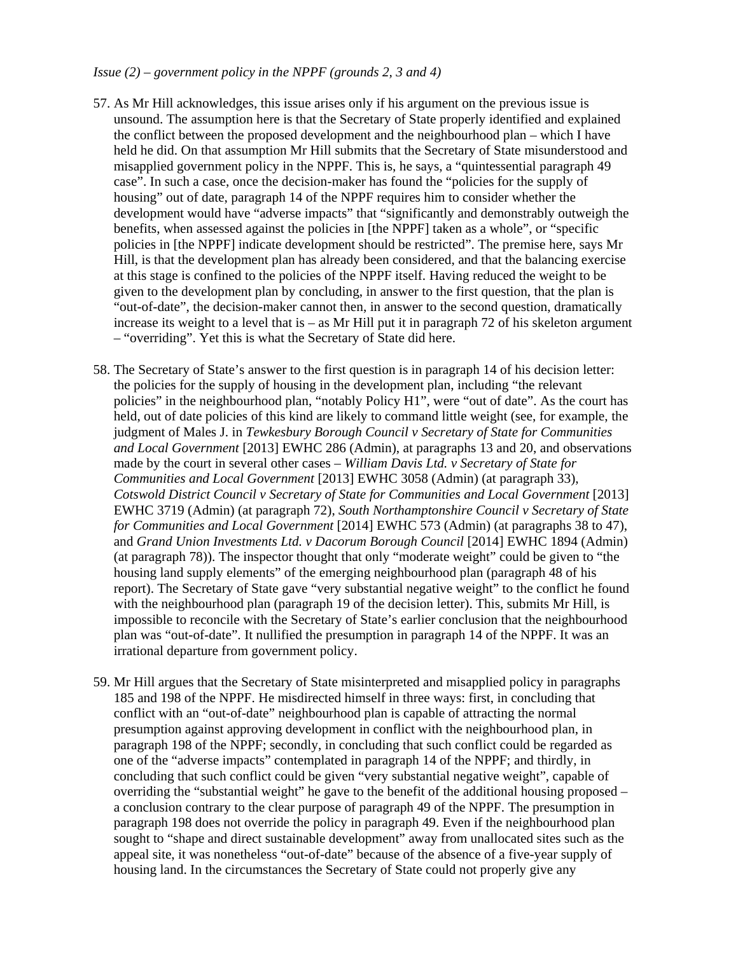#### *Issue (2) – government policy in the NPPF (grounds 2, 3 and 4)*

- 57. As Mr Hill acknowledges, this issue arises only if his argument on the previous issue is unsound. The assumption here is that the Secretary of State properly identified and explained the conflict between the proposed development and the neighbourhood plan – which I have held he did. On that assumption Mr Hill submits that the Secretary of State misunderstood and misapplied government policy in the NPPF. This is, he says, a "quintessential paragraph 49 case". In such a case, once the decision-maker has found the "policies for the supply of housing" out of date, paragraph 14 of the NPPF requires him to consider whether the development would have "adverse impacts" that "significantly and demonstrably outweigh the benefits, when assessed against the policies in [the NPPF] taken as a whole", or "specific policies in [the NPPF] indicate development should be restricted". The premise here, says Mr Hill, is that the development plan has already been considered, and that the balancing exercise at this stage is confined to the policies of the NPPF itself. Having reduced the weight to be given to the development plan by concluding, in answer to the first question, that the plan is "out-of-date", the decision-maker cannot then, in answer to the second question, dramatically increase its weight to a level that is – as Mr Hill put it in paragraph 72 of his skeleton argument – "overriding". Yet this is what the Secretary of State did here.
- 58. The Secretary of State's answer to the first question is in paragraph 14 of his decision letter: the policies for the supply of housing in the development plan, including "the relevant policies" in the neighbourhood plan, "notably Policy H1", were "out of date". As the court has held, out of date policies of this kind are likely to command little weight (see, for example, the judgment of Males J. in *Tewkesbury Borough Council v Secretary of State for Communities and Local Government* [2013] EWHC 286 (Admin), at paragraphs 13 and 20, and observations made by the court in several other cases – *William Davis Ltd. v Secretary of State for Communities and Local Government* [2013] EWHC 3058 (Admin) (at paragraph 33), *Cotswold District Council v Secretary of State for Communities and Local Government* [2013] EWHC 3719 (Admin) (at paragraph 72), *South Northamptonshire Council v Secretary of State for Communities and Local Government* [2014] EWHC 573 (Admin) (at paragraphs 38 to 47), and *Grand Union Investments Ltd. v Dacorum Borough Council* [2014] EWHC 1894 (Admin) (at paragraph 78)). The inspector thought that only "moderate weight" could be given to "the housing land supply elements" of the emerging neighbourhood plan (paragraph 48 of his report). The Secretary of State gave "very substantial negative weight" to the conflict he found with the neighbourhood plan (paragraph 19 of the decision letter). This, submits Mr Hill, is impossible to reconcile with the Secretary of State's earlier conclusion that the neighbourhood plan was "out-of-date". It nullified the presumption in paragraph 14 of the NPPF. It was an irrational departure from government policy.
- 59. Mr Hill argues that the Secretary of State misinterpreted and misapplied policy in paragraphs 185 and 198 of the NPPF. He misdirected himself in three ways: first, in concluding that conflict with an "out-of-date" neighbourhood plan is capable of attracting the normal presumption against approving development in conflict with the neighbourhood plan, in paragraph 198 of the NPPF; secondly, in concluding that such conflict could be regarded as one of the "adverse impacts" contemplated in paragraph 14 of the NPPF; and thirdly, in concluding that such conflict could be given "very substantial negative weight", capable of overriding the "substantial weight" he gave to the benefit of the additional housing proposed – a conclusion contrary to the clear purpose of paragraph 49 of the NPPF. The presumption in paragraph 198 does not override the policy in paragraph 49. Even if the neighbourhood plan sought to "shape and direct sustainable development" away from unallocated sites such as the appeal site, it was nonetheless "out-of-date" because of the absence of a five-year supply of housing land. In the circumstances the Secretary of State could not properly give any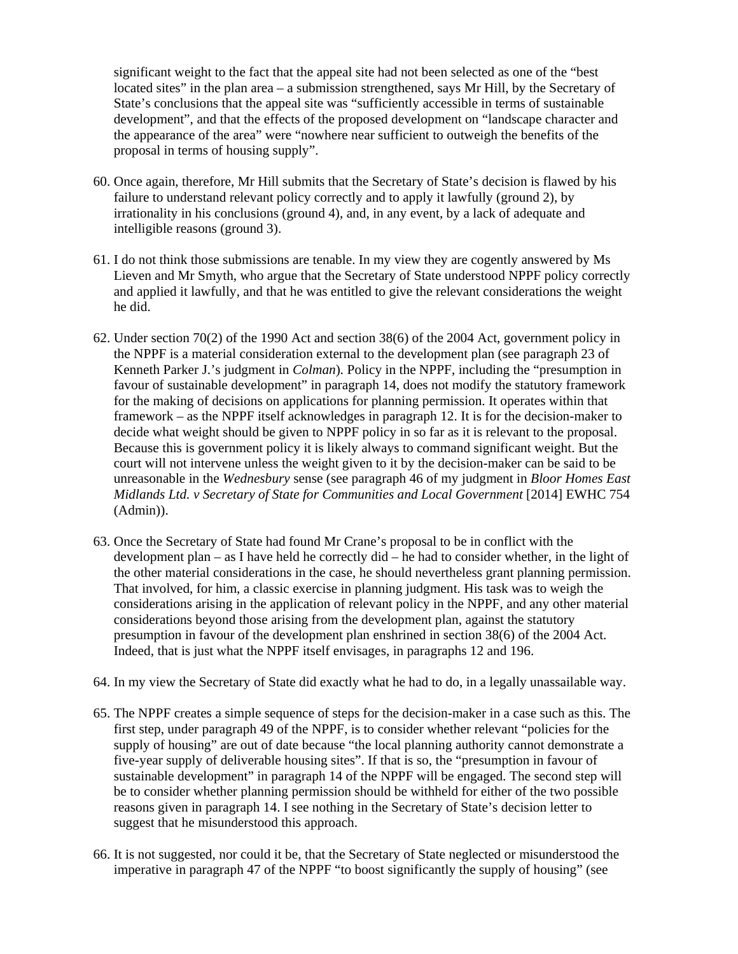significant weight to the fact that the appeal site had not been selected as one of the "best located sites" in the plan area – a submission strengthened, says Mr Hill, by the Secretary of State's conclusions that the appeal site was "sufficiently accessible in terms of sustainable development", and that the effects of the proposed development on "landscape character and the appearance of the area" were "nowhere near sufficient to outweigh the benefits of the proposal in terms of housing supply".

- 60. Once again, therefore, Mr Hill submits that the Secretary of State's decision is flawed by his failure to understand relevant policy correctly and to apply it lawfully (ground 2), by irrationality in his conclusions (ground 4), and, in any event, by a lack of adequate and intelligible reasons (ground 3).
- 61. I do not think those submissions are tenable. In my view they are cogently answered by Ms Lieven and Mr Smyth, who argue that the Secretary of State understood NPPF policy correctly and applied it lawfully, and that he was entitled to give the relevant considerations the weight he did.
- 62. Under section 70(2) of the 1990 Act and section 38(6) of the 2004 Act, government policy in the NPPF is a material consideration external to the development plan (see paragraph 23 of Kenneth Parker J.'s judgment in *Colman*)*.* Policy in the NPPF, including the "presumption in favour of sustainable development" in paragraph 14, does not modify the statutory framework for the making of decisions on applications for planning permission. It operates within that framework – as the NPPF itself acknowledges in paragraph 12. It is for the decision-maker to decide what weight should be given to NPPF policy in so far as it is relevant to the proposal. Because this is government policy it is likely always to command significant weight. But the court will not intervene unless the weight given to it by the decision-maker can be said to be unreasonable in the *Wednesbury* sense (see paragraph 46 of my judgment in *Bloor Homes East Midlands Ltd. v Secretary of State for Communities and Local Government* [2014] EWHC 754 (Admin)).
- 63. Once the Secretary of State had found Mr Crane's proposal to be in conflict with the development plan – as I have held he correctly did – he had to consider whether, in the light of the other material considerations in the case, he should nevertheless grant planning permission. That involved, for him, a classic exercise in planning judgment. His task was to weigh the considerations arising in the application of relevant policy in the NPPF, and any other material considerations beyond those arising from the development plan, against the statutory presumption in favour of the development plan enshrined in section 38(6) of the 2004 Act. Indeed, that is just what the NPPF itself envisages, in paragraphs 12 and 196.
- 64. In my view the Secretary of State did exactly what he had to do, in a legally unassailable way.
- 65. The NPPF creates a simple sequence of steps for the decision-maker in a case such as this. The first step, under paragraph 49 of the NPPF, is to consider whether relevant "policies for the supply of housing" are out of date because "the local planning authority cannot demonstrate a five-year supply of deliverable housing sites". If that is so, the "presumption in favour of sustainable development" in paragraph 14 of the NPPF will be engaged. The second step will be to consider whether planning permission should be withheld for either of the two possible reasons given in paragraph 14. I see nothing in the Secretary of State's decision letter to suggest that he misunderstood this approach.
- 66. It is not suggested, nor could it be, that the Secretary of State neglected or misunderstood the imperative in paragraph 47 of the NPPF "to boost significantly the supply of housing" (see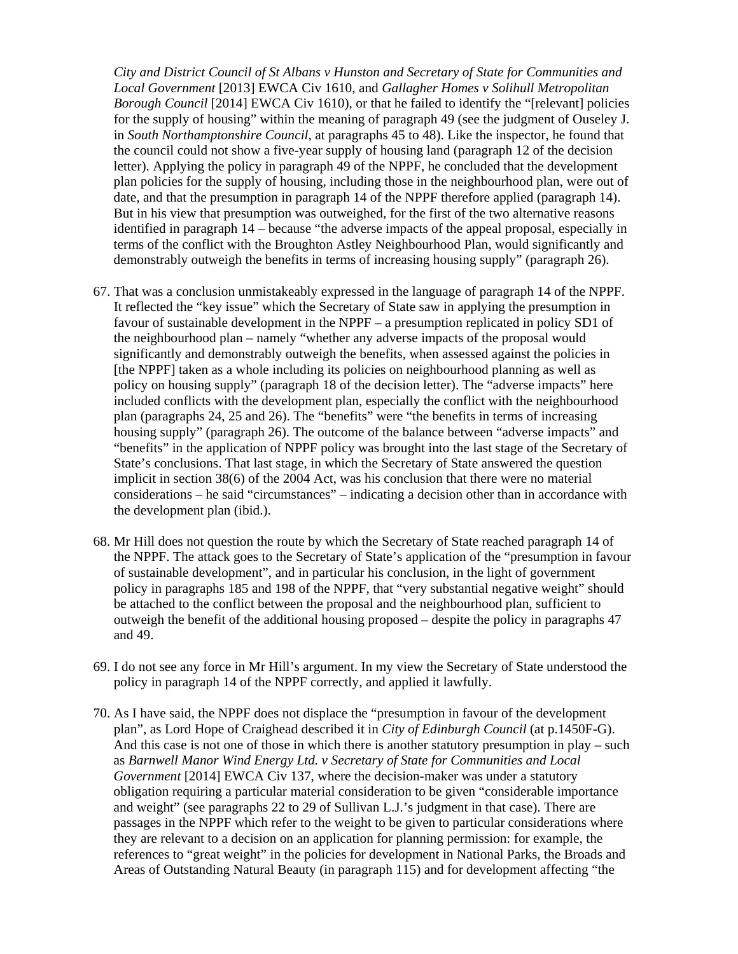*City and District Council of St Albans v Hunston and Secretary of State for Communities and Local Government* [2013] EWCA Civ 1610, and *Gallagher Homes v Solihull Metropolitan Borough Council* [2014] EWCA Civ 1610), or that he failed to identify the "[relevant] policies for the supply of housing" within the meaning of paragraph 49 (see the judgment of Ouseley J. in *South Northamptonshire Council*, at paragraphs 45 to 48). Like the inspector, he found that the council could not show a five-year supply of housing land (paragraph 12 of the decision letter). Applying the policy in paragraph 49 of the NPPF, he concluded that the development plan policies for the supply of housing, including those in the neighbourhood plan, were out of date, and that the presumption in paragraph 14 of the NPPF therefore applied (paragraph 14). But in his view that presumption was outweighed, for the first of the two alternative reasons identified in paragraph 14 – because "the adverse impacts of the appeal proposal, especially in terms of the conflict with the Broughton Astley Neighbourhood Plan, would significantly and demonstrably outweigh the benefits in terms of increasing housing supply" (paragraph 26).

- 67. That was a conclusion unmistakeably expressed in the language of paragraph 14 of the NPPF. It reflected the "key issue" which the Secretary of State saw in applying the presumption in favour of sustainable development in the NPPF – a presumption replicated in policy SD1 of the neighbourhood plan – namely "whether any adverse impacts of the proposal would significantly and demonstrably outweigh the benefits, when assessed against the policies in [the NPPF] taken as a whole including its policies on neighbourhood planning as well as policy on housing supply" (paragraph 18 of the decision letter). The "adverse impacts" here included conflicts with the development plan, especially the conflict with the neighbourhood plan (paragraphs 24, 25 and 26). The "benefits" were "the benefits in terms of increasing housing supply" (paragraph 26). The outcome of the balance between "adverse impacts" and "benefits" in the application of NPPF policy was brought into the last stage of the Secretary of State's conclusions. That last stage, in which the Secretary of State answered the question implicit in section 38(6) of the 2004 Act, was his conclusion that there were no material considerations – he said "circumstances" – indicating a decision other than in accordance with the development plan (ibid.).
- 68. Mr Hill does not question the route by which the Secretary of State reached paragraph 14 of the NPPF. The attack goes to the Secretary of State's application of the "presumption in favour of sustainable development", and in particular his conclusion, in the light of government policy in paragraphs 185 and 198 of the NPPF, that "very substantial negative weight" should be attached to the conflict between the proposal and the neighbourhood plan, sufficient to outweigh the benefit of the additional housing proposed – despite the policy in paragraphs 47 and 49.
- 69. I do not see any force in Mr Hill's argument. In my view the Secretary of State understood the policy in paragraph 14 of the NPPF correctly, and applied it lawfully.
- 70. As I have said, the NPPF does not displace the "presumption in favour of the development plan", as Lord Hope of Craighead described it in *City of Edinburgh Council* (at p.1450F-G). And this case is not one of those in which there is another statutory presumption in play – such as *Barnwell Manor Wind Energy Ltd. v Secretary of State for Communities and Local Government* [2014] EWCA Civ 137, where the decision-maker was under a statutory obligation requiring a particular material consideration to be given "considerable importance and weight" (see paragraphs 22 to 29 of Sullivan L.J.'s judgment in that case). There are passages in the NPPF which refer to the weight to be given to particular considerations where they are relevant to a decision on an application for planning permission: for example, the references to "great weight" in the policies for development in National Parks, the Broads and Areas of Outstanding Natural Beauty (in paragraph 115) and for development affecting "the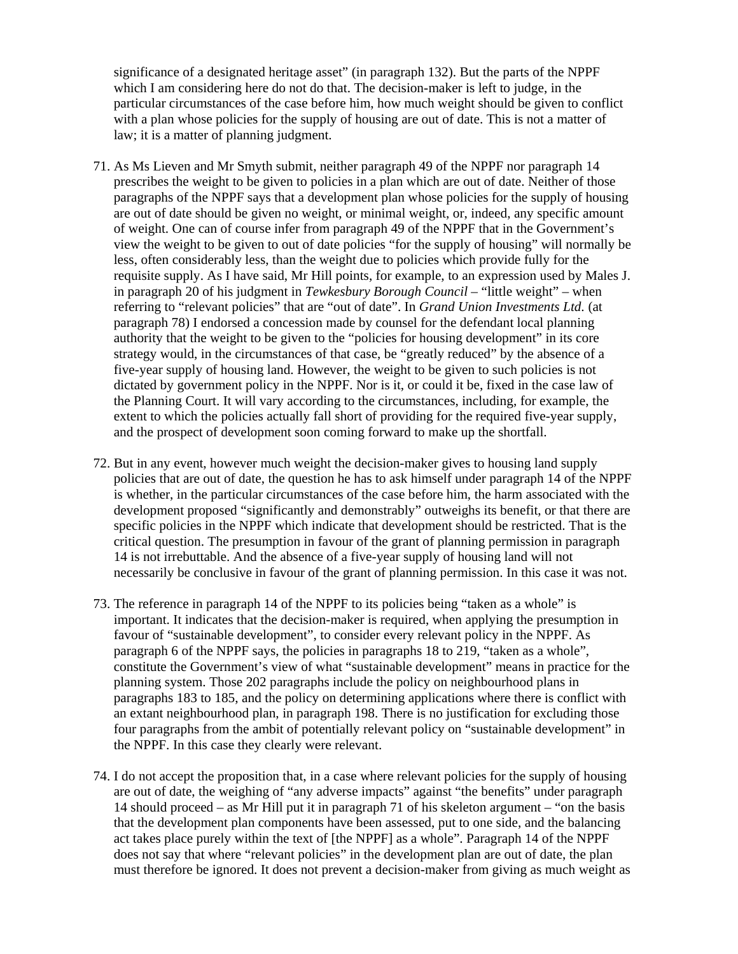significance of a designated heritage asset" (in paragraph 132). But the parts of the NPPF which I am considering here do not do that. The decision-maker is left to judge, in the particular circumstances of the case before him, how much weight should be given to conflict with a plan whose policies for the supply of housing are out of date. This is not a matter of law; it is a matter of planning judgment.

- 71. As Ms Lieven and Mr Smyth submit, neither paragraph 49 of the NPPF nor paragraph 14 prescribes the weight to be given to policies in a plan which are out of date. Neither of those paragraphs of the NPPF says that a development plan whose policies for the supply of housing are out of date should be given no weight, or minimal weight, or, indeed, any specific amount of weight. One can of course infer from paragraph 49 of the NPPF that in the Government's view the weight to be given to out of date policies "for the supply of housing" will normally be less, often considerably less, than the weight due to policies which provide fully for the requisite supply. As I have said, Mr Hill points, for example, to an expression used by Males J. in paragraph 20 of his judgment in *Tewkesbury Borough Council* – "little weight" – when referring to "relevant policies" that are "out of date". In *Grand Union Investments Ltd.* (at paragraph 78) I endorsed a concession made by counsel for the defendant local planning authority that the weight to be given to the "policies for housing development" in its core strategy would, in the circumstances of that case, be "greatly reduced" by the absence of a five-year supply of housing land. However, the weight to be given to such policies is not dictated by government policy in the NPPF. Nor is it, or could it be, fixed in the case law of the Planning Court. It will vary according to the circumstances, including, for example, the extent to which the policies actually fall short of providing for the required five-year supply, and the prospect of development soon coming forward to make up the shortfall.
- 72. But in any event, however much weight the decision-maker gives to housing land supply policies that are out of date, the question he has to ask himself under paragraph 14 of the NPPF is whether, in the particular circumstances of the case before him, the harm associated with the development proposed "significantly and demonstrably" outweighs its benefit, or that there are specific policies in the NPPF which indicate that development should be restricted. That is the critical question. The presumption in favour of the grant of planning permission in paragraph 14 is not irrebuttable. And the absence of a five-year supply of housing land will not necessarily be conclusive in favour of the grant of planning permission. In this case it was not.
- 73. The reference in paragraph 14 of the NPPF to its policies being "taken as a whole" is important. It indicates that the decision-maker is required, when applying the presumption in favour of "sustainable development", to consider every relevant policy in the NPPF. As paragraph 6 of the NPPF says, the policies in paragraphs 18 to 219, "taken as a whole", constitute the Government's view of what "sustainable development" means in practice for the planning system. Those 202 paragraphs include the policy on neighbourhood plans in paragraphs 183 to 185, and the policy on determining applications where there is conflict with an extant neighbourhood plan, in paragraph 198. There is no justification for excluding those four paragraphs from the ambit of potentially relevant policy on "sustainable development" in the NPPF. In this case they clearly were relevant.
- 74. I do not accept the proposition that, in a case where relevant policies for the supply of housing are out of date, the weighing of "any adverse impacts" against "the benefits" under paragraph 14 should proceed – as Mr Hill put it in paragraph 71 of his skeleton argument – "on the basis that the development plan components have been assessed, put to one side, and the balancing act takes place purely within the text of [the NPPF] as a whole". Paragraph 14 of the NPPF does not say that where "relevant policies" in the development plan are out of date, the plan must therefore be ignored. It does not prevent a decision-maker from giving as much weight as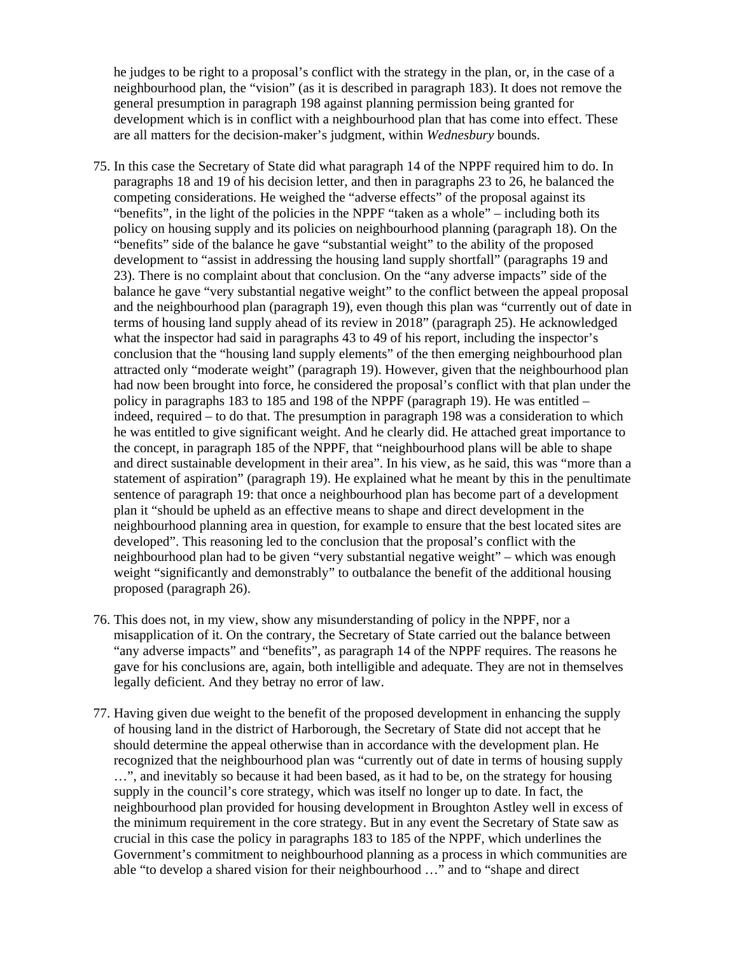he judges to be right to a proposal's conflict with the strategy in the plan, or, in the case of a neighbourhood plan, the "vision" (as it is described in paragraph 183). It does not remove the general presumption in paragraph 198 against planning permission being granted for development which is in conflict with a neighbourhood plan that has come into effect. These are all matters for the decision-maker's judgment, within *Wednesbury* bounds.

- 75. In this case the Secretary of State did what paragraph 14 of the NPPF required him to do. In paragraphs 18 and 19 of his decision letter, and then in paragraphs 23 to 26, he balanced the competing considerations. He weighed the "adverse effects" of the proposal against its "benefits", in the light of the policies in the NPPF "taken as a whole" – including both its policy on housing supply and its policies on neighbourhood planning (paragraph 18). On the "benefits" side of the balance he gave "substantial weight" to the ability of the proposed development to "assist in addressing the housing land supply shortfall" (paragraphs 19 and 23). There is no complaint about that conclusion. On the "any adverse impacts" side of the balance he gave "very substantial negative weight" to the conflict between the appeal proposal and the neighbourhood plan (paragraph 19), even though this plan was "currently out of date in terms of housing land supply ahead of its review in 2018" (paragraph 25). He acknowledged what the inspector had said in paragraphs 43 to 49 of his report, including the inspector's conclusion that the "housing land supply elements" of the then emerging neighbourhood plan attracted only "moderate weight" (paragraph 19). However, given that the neighbourhood plan had now been brought into force, he considered the proposal's conflict with that plan under the policy in paragraphs 183 to 185 and 198 of the NPPF (paragraph 19). He was entitled – indeed, required – to do that. The presumption in paragraph 198 was a consideration to which he was entitled to give significant weight. And he clearly did. He attached great importance to the concept, in paragraph 185 of the NPPF, that "neighbourhood plans will be able to shape and direct sustainable development in their area". In his view, as he said, this was "more than a statement of aspiration" (paragraph 19). He explained what he meant by this in the penultimate sentence of paragraph 19: that once a neighbourhood plan has become part of a development plan it "should be upheld as an effective means to shape and direct development in the neighbourhood planning area in question, for example to ensure that the best located sites are developed". This reasoning led to the conclusion that the proposal's conflict with the neighbourhood plan had to be given "very substantial negative weight" – which was enough weight "significantly and demonstrably" to outbalance the benefit of the additional housing proposed (paragraph 26).
- 76. This does not, in my view, show any misunderstanding of policy in the NPPF, nor a misapplication of it. On the contrary, the Secretary of State carried out the balance between "any adverse impacts" and "benefits", as paragraph 14 of the NPPF requires. The reasons he gave for his conclusions are, again, both intelligible and adequate. They are not in themselves legally deficient. And they betray no error of law.
- 77. Having given due weight to the benefit of the proposed development in enhancing the supply of housing land in the district of Harborough, the Secretary of State did not accept that he should determine the appeal otherwise than in accordance with the development plan. He recognized that the neighbourhood plan was "currently out of date in terms of housing supply …", and inevitably so because it had been based, as it had to be, on the strategy for housing supply in the council's core strategy, which was itself no longer up to date. In fact, the neighbourhood plan provided for housing development in Broughton Astley well in excess of the minimum requirement in the core strategy. But in any event the Secretary of State saw as crucial in this case the policy in paragraphs 183 to 185 of the NPPF, which underlines the Government's commitment to neighbourhood planning as a process in which communities are able "to develop a shared vision for their neighbourhood …" and to "shape and direct